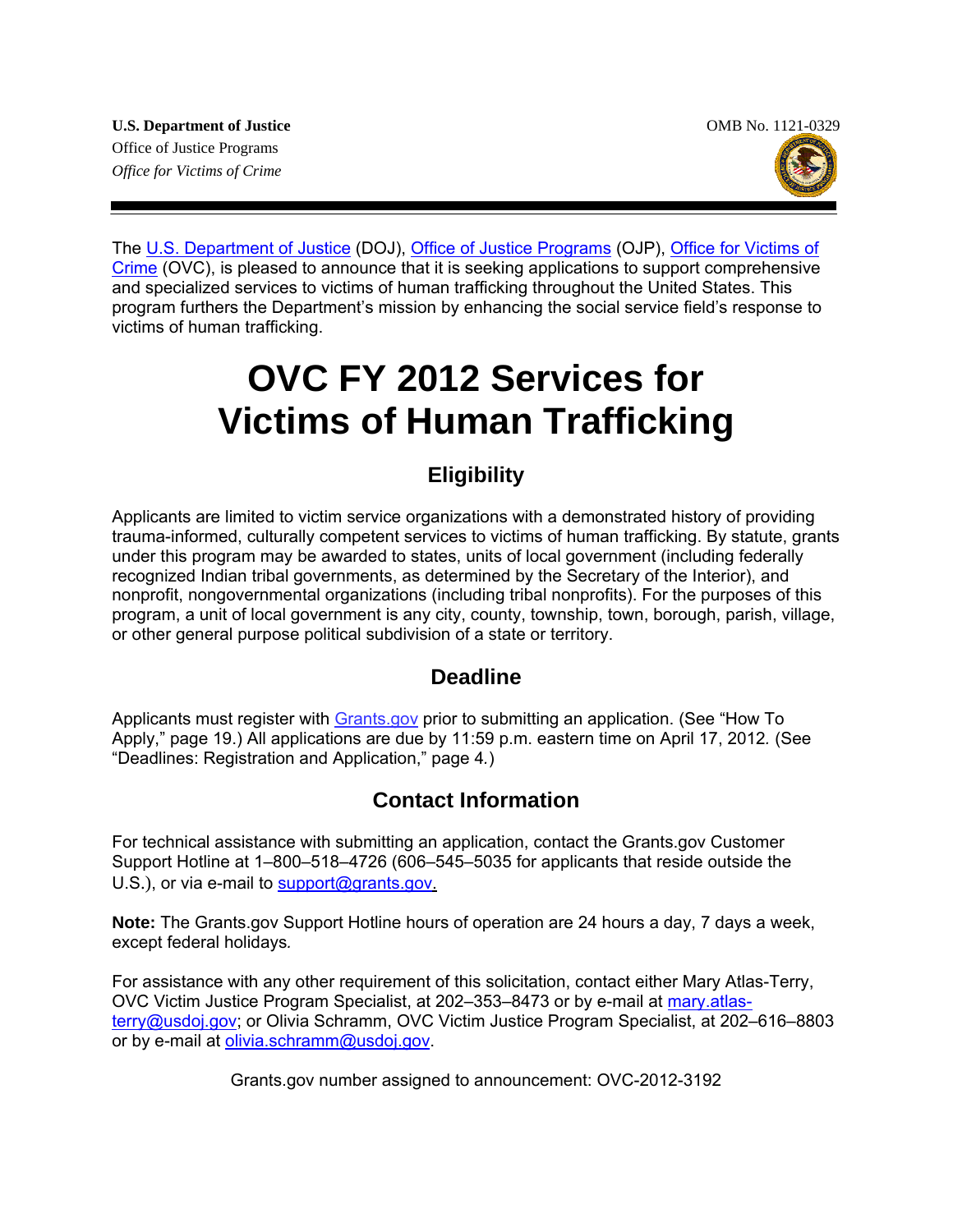

The [U.S. Department of Justice](http://www.usdoj.gov/) (DOJ), [Office of Justice Programs](http://www.ojp.usdoj.gov/) (OJP), Office for Victims of [Crime](http://www.ovc.gov/) (OVC), is pleased to announce that it is seeking applications to support comprehensive and specialized services to victims of human trafficking throughout the United States. This program furthers the Department's mission by enhancing the social service field's response to victims of human trafficking.

# **OVC FY 2012 Services for Victims of Human Trafficking**

### **Eligibility**

Applicants are limited to victim service organizations with a demonstrated history of providing trauma-informed, culturally competent services to victims of human trafficking. By statute, grants under this program may be awarded to states, units of local government (including federally recognized Indian tribal governments, as determined by the Secretary of the Interior), and nonprofit, nongovernmental organizations (including tribal nonprofits). For the purposes of this program, a unit of local government is any city, county, township, town, borough, parish, village, or other general purpose political subdivision of a state or territory.

### **Deadline**

Applicants must register with **Grants.gov** prior to submitting an application. (See "How To Apply," page 19.) All applications are due by 11:59 p.m. eastern time on April 17, 2012*.* (See "Deadlines: Registration and Application," page 4*.*)

### **Contact Information**

For technical assistance with submitting an application, contact the Grants.gov Customer Support Hotline at 1–800–518–4726 (606–545–5035 for applicants that reside outside the U.S.), or via e-mail to [support@grants.gov.](mailto:support@grants.gov)

**Note:** The Grants.gov Support Hotline hours of operation are 24 hours a day, 7 days a week, except federal holidays*.*

For assistance with any other requirement of this solicitation, contact either Mary Atlas-Terry, OVC Victim Justice Program Specialist, at 202–353–8473 or by e-mail at [mary.atlas](mailto:mary.atlas-terry@usdoj.gov)[terry@usdoj.gov](mailto:mary.atlas-terry@usdoj.gov); or Olivia Schramm, OVC Victim Justice Program Specialist, at 202–616–8803 or by e-mail at [olivia.schramm@usdoj.gov](mailto:olivia.schramm@usdoj.gov).

Grants.gov number assigned to announcement: OVC-2012-3192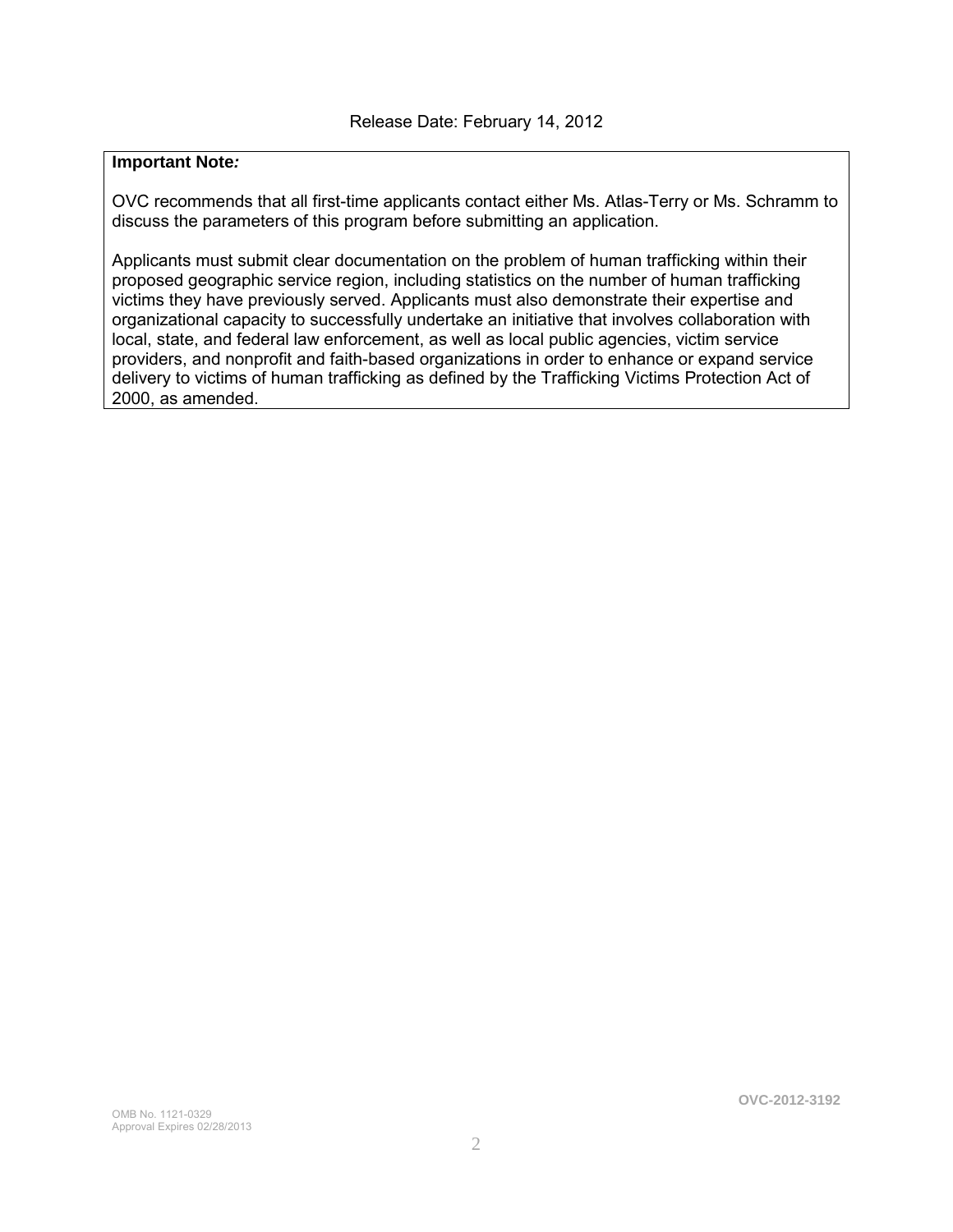### **Important Note***:*

OVC recommends that all first-time applicants contact either Ms. Atlas-Terry or Ms. Schramm to discuss the parameters of this program before submitting an application.

Applicants must submit clear documentation on the problem of human trafficking within their proposed geographic service region, including statistics on the number of human trafficking victims they have previously served. Applicants must also demonstrate their expertise and organizational capacity to successfully undertake an initiative that involves collaboration with local, state, and federal law enforcement, as well as local public agencies, victim service providers, and nonprofit and faith-based organizations in order to enhance or expand service delivery to victims of human trafficking as defined by the Trafficking Victims Protection Act of 2000, as amended.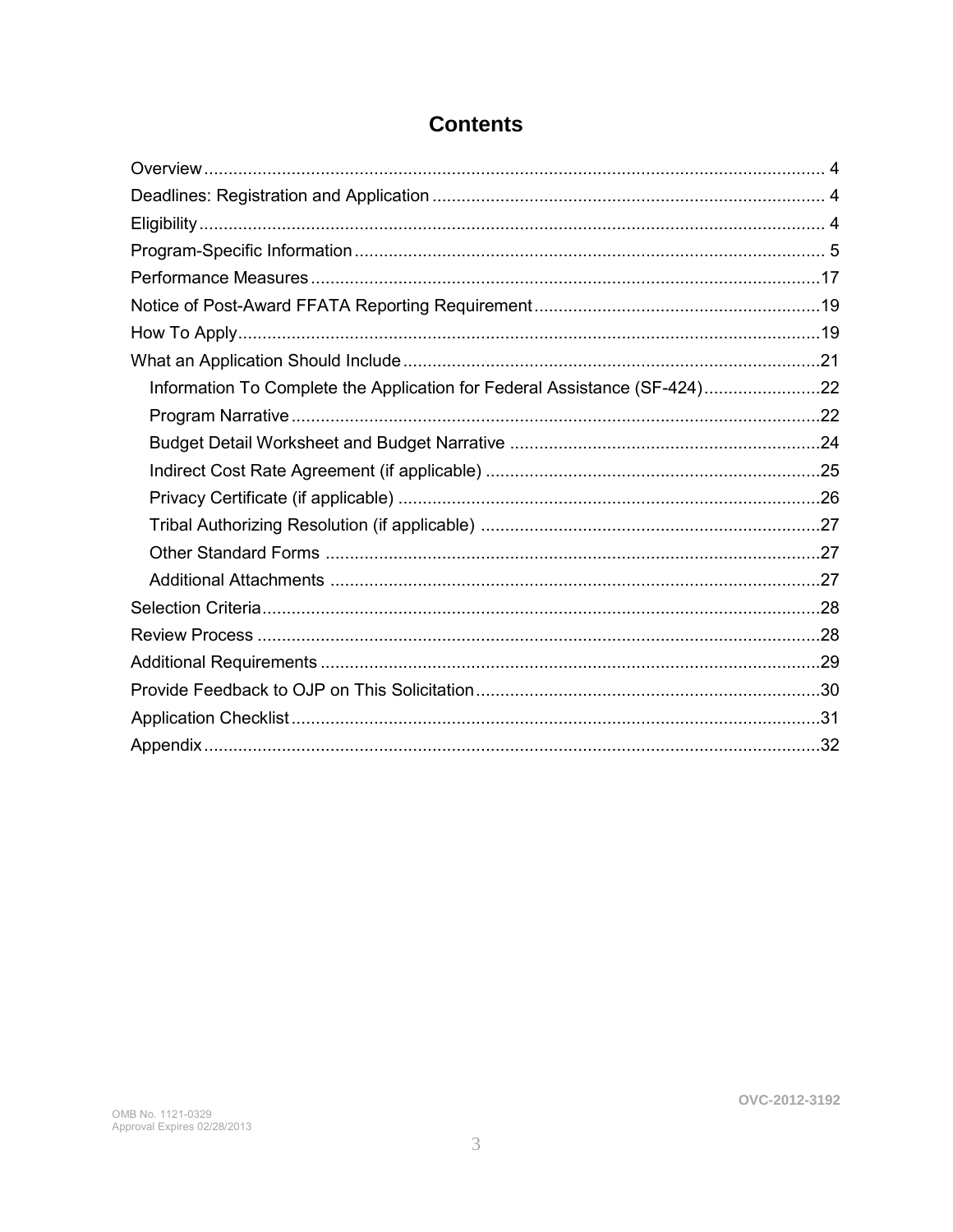| Information To Complete the Application for Federal Assistance (SF-424)22 |  |
|---------------------------------------------------------------------------|--|
|                                                                           |  |
|                                                                           |  |
|                                                                           |  |
|                                                                           |  |
|                                                                           |  |
|                                                                           |  |
|                                                                           |  |
|                                                                           |  |
|                                                                           |  |
|                                                                           |  |
|                                                                           |  |
|                                                                           |  |
|                                                                           |  |

### **Contents**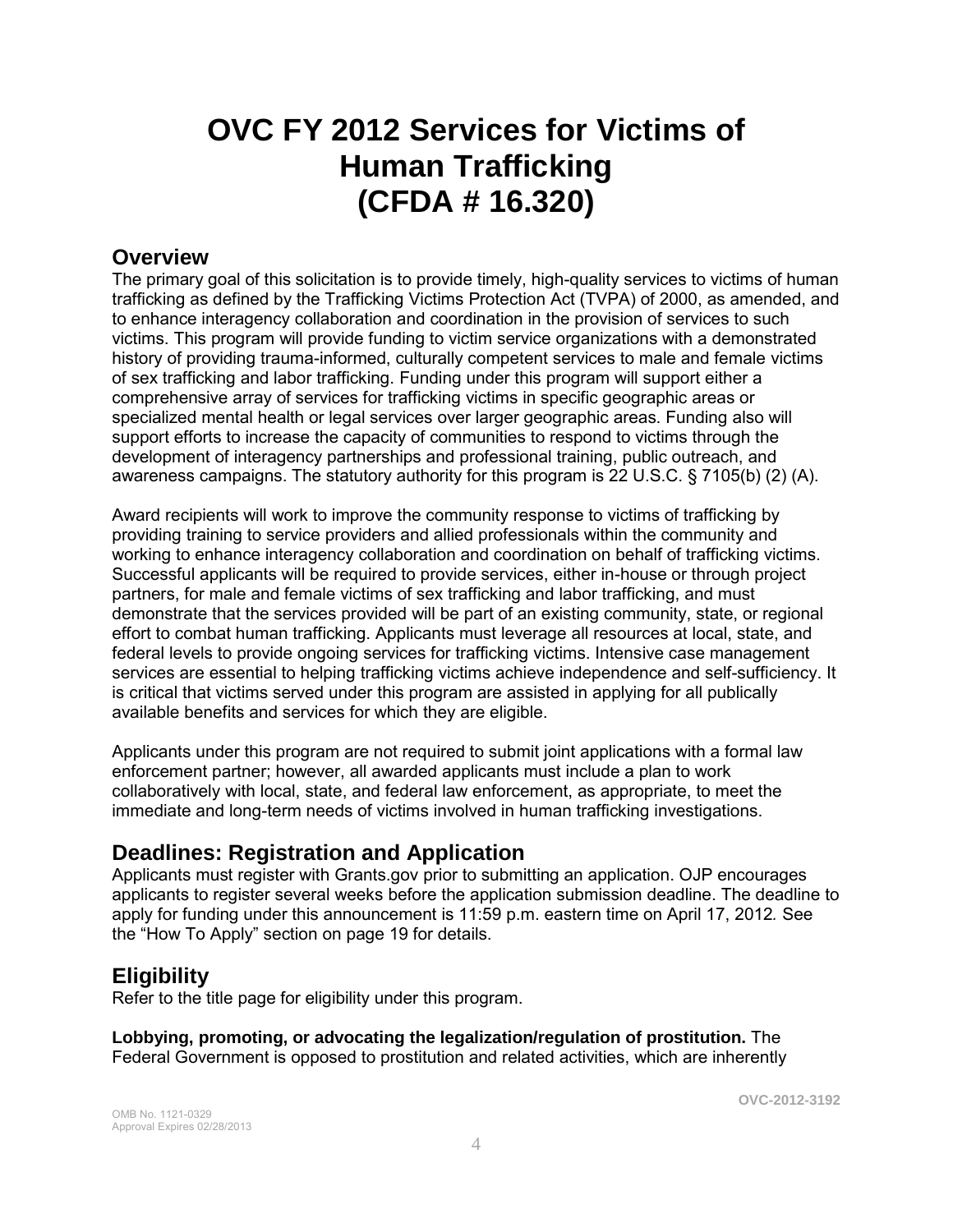## **OVC FY 2012 Services for Victims of Human Trafficking (CFDA # 16.320)**

### **Overview**

The primary goal of this solicitation is to provide timely, high-quality services to victims of human trafficking as defined by the Trafficking Victims Protection Act (TVPA) of 2000, as amended, and to enhance interagency collaboration and coordination in the provision of services to such victims. This program will provide funding to victim service organizations with a demonstrated history of providing trauma-informed, culturally competent services to male and female victims of sex trafficking and labor trafficking. Funding under this program will support either a comprehensive array of services for trafficking victims in specific geographic areas or specialized mental health or legal services over larger geographic areas. Funding also will support efforts to increase the capacity of communities to respond to victims through the development of interagency partnerships and professional training, public outreach, and awareness campaigns. The statutory authority for this program is 22 U.S.C. § 7105(b) (2) (A).

Award recipients will work to improve the community response to victims of trafficking by providing training to service providers and allied professionals within the community and working to enhance interagency collaboration and coordination on behalf of trafficking victims. Successful applicants will be required to provide services, either in-house or through project partners, for male and female victims of sex trafficking and labor trafficking, and must demonstrate that the services provided will be part of an existing community, state, or regional effort to combat human trafficking. Applicants must leverage all resources at local, state, and federal levels to provide ongoing services for trafficking victims. Intensive case management services are essential to helping trafficking victims achieve independence and self-sufficiency. It is critical that victims served under this program are assisted in applying for all publically available benefits and services for which they are eligible.

Applicants under this program are not required to submit joint applications with a formal law enforcement partner; however, all awarded applicants must include a plan to work collaboratively with local, state, and federal law enforcement, as appropriate, to meet the immediate and long-term needs of victims involved in human trafficking investigations.

### **Deadlines: Registration and Application**

Applicants must register with Grants.gov prior to submitting an application. OJP encourages applicants to register several weeks before the application submission deadline. The deadline to apply for funding under this announcement is 11:59 p.m. eastern time on April 17, 2012*.* See the "How To Apply" section on page 19 for details.

### **Eligibility**

Refer to the title page for eligibility under this program.

**Lobbying, promoting, or advocating the legalization/regulation of prostitution.** The Federal Government is opposed to prostitution and related activities, which are inherently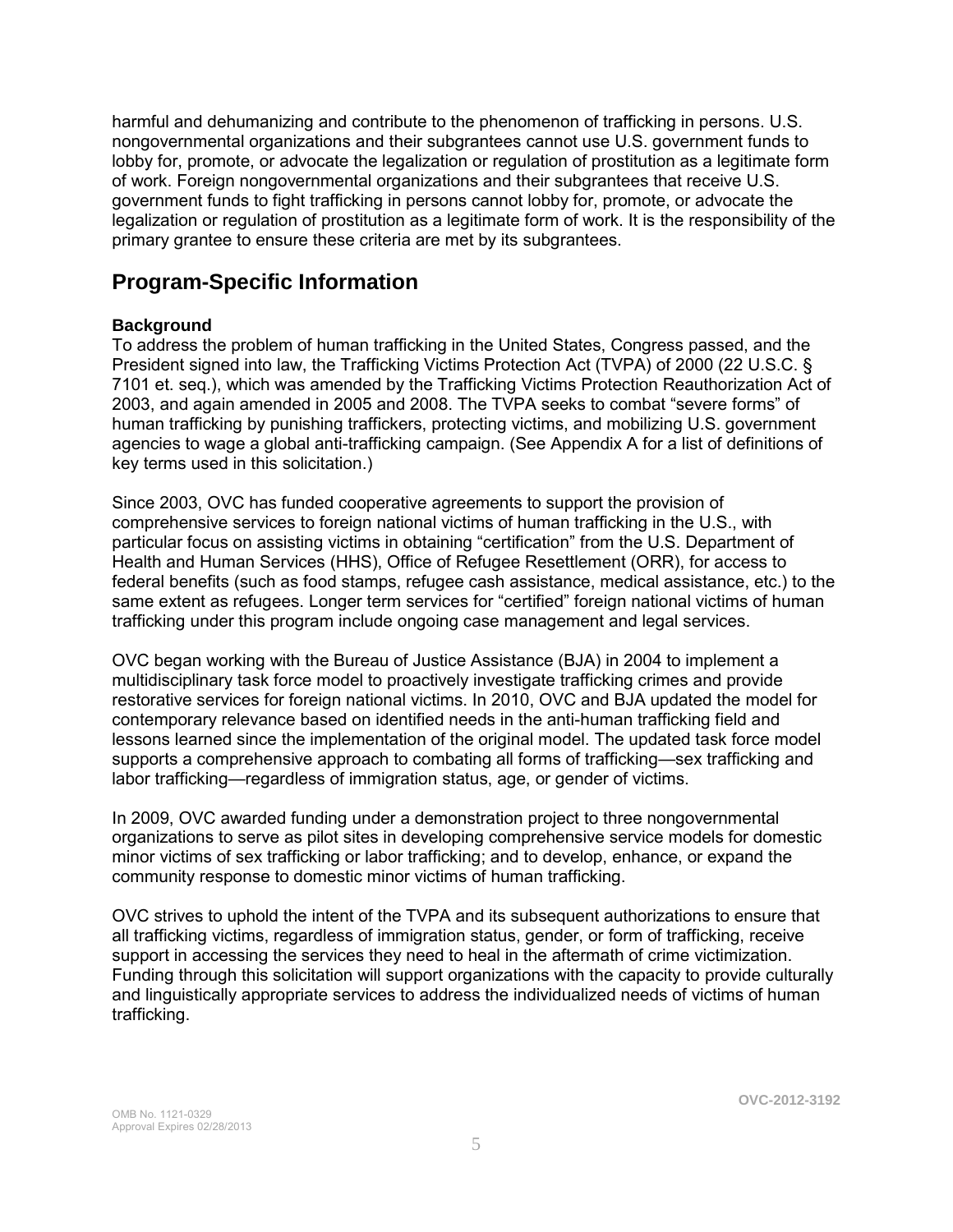harmful and dehumanizing and contribute to the phenomenon of trafficking in persons. U.S. nongovernmental organizations and their subgrantees cannot use U.S. government funds to lobby for, promote, or advocate the legalization or regulation of prostitution as a legitimate form of work. Foreign nongovernmental organizations and their subgrantees that receive U.S. government funds to fight trafficking in persons cannot lobby for, promote, or advocate the legalization or regulation of prostitution as a legitimate form of work. It is the responsibility of the primary grantee to ensure these criteria are met by its subgrantees.

### **Program-Specific Information**

### **Background**

To address the problem of human trafficking in the United States, Congress passed, and the President signed into law, the Trafficking Victims Protection Act (TVPA) of 2000 (22 U.S.C. § 7101 et. seq.), which was amended by the Trafficking Victims Protection Reauthorization Act of 2003, and again amended in 2005 and 2008. The TVPA seeks to combat "severe forms" of human trafficking by punishing traffickers, protecting victims, and mobilizing U.S. government agencies to wage a global anti-trafficking campaign. (See Appendix A for a list of definitions of key terms used in this solicitation.)

Since 2003, OVC has funded cooperative agreements to support the provision of comprehensive services to foreign national victims of human trafficking in the U.S., with particular focus on assisting victims in obtaining "certification" from the U.S. Department of Health and Human Services (HHS), Office of Refugee Resettlement (ORR), for access to federal benefits (such as food stamps, refugee cash assistance, medical assistance, etc.) to the same extent as refugees. Longer term services for "certified" foreign national victims of human trafficking under this program include ongoing case management and legal services.

OVC began working with the Bureau of Justice Assistance (BJA) in 2004 to implement a multidisciplinary task force model to proactively investigate trafficking crimes and provide restorative services for foreign national victims. In 2010, OVC and BJA updated the model for contemporary relevance based on identified needs in the anti-human trafficking field and lessons learned since the implementation of the original model. The updated task force model supports a comprehensive approach to combating all forms of trafficking—sex trafficking and labor trafficking—regardless of immigration status, age, or gender of victims.

In 2009, OVC awarded funding under a demonstration project to three nongovernmental organizations to serve as pilot sites in developing comprehensive service models for domestic minor victims of sex trafficking or labor trafficking; and to develop, enhance, or expand the community response to domestic minor victims of human trafficking.

OVC strives to uphold the intent of the TVPA and its subsequent authorizations to ensure that all trafficking victims, regardless of immigration status, gender, or form of trafficking, receive support in accessing the services they need to heal in the aftermath of crime victimization. Funding through this solicitation will support organizations with the capacity to provide culturally and linguistically appropriate services to address the individualized needs of victims of human trafficking.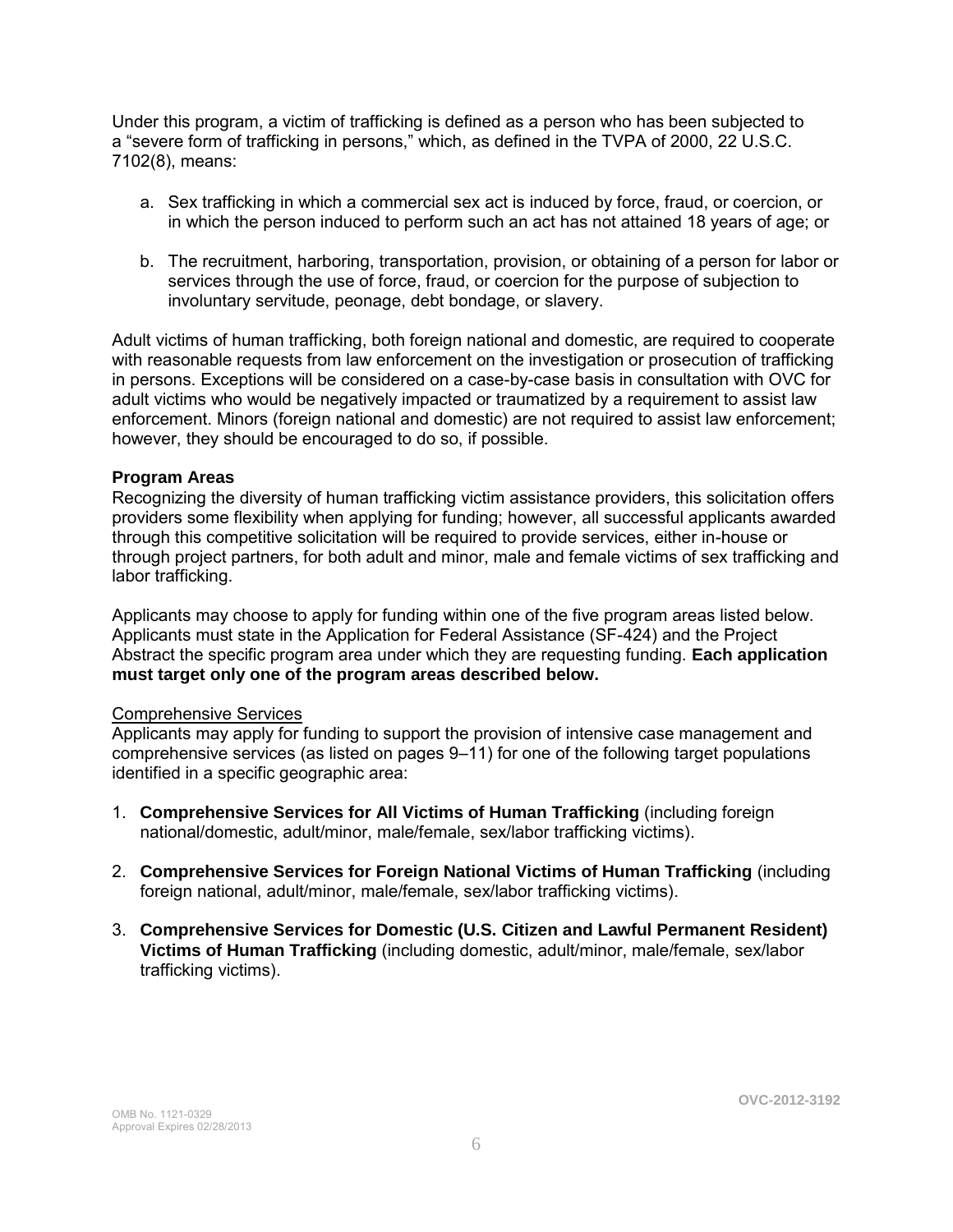Under this program, a victim of trafficking is defined as a person who has been subjected to a "severe form of trafficking in persons," which, as defined in the TVPA of 2000, 22 U.S.C. 7102(8), means:

- a. Sex trafficking in which a commercial sex act is induced by force, fraud, or coercion, or in which the person induced to perform such an act has not attained 18 years of age; or
- b. The recruitment, harboring, transportation, provision, or obtaining of a person for labor or services through the use of force, fraud, or coercion for the purpose of subjection to involuntary servitude, peonage, debt bondage, or slavery.

Adult victims of human trafficking, both foreign national and domestic, are required to cooperate with reasonable requests from law enforcement on the investigation or prosecution of trafficking in persons. Exceptions will be considered on a case-by-case basis in consultation with OVC for adult victims who would be negatively impacted or traumatized by a requirement to assist law enforcement. Minors (foreign national and domestic) are not required to assist law enforcement; however, they should be encouraged to do so, if possible.

### **Program Areas**

Recognizing the diversity of human trafficking victim assistance providers, this solicitation offers providers some flexibility when applying for funding; however, all successful applicants awarded through this competitive solicitation will be required to provide services, either in-house or through project partners, for both adult and minor, male and female victims of sex trafficking and labor trafficking.

Applicants may choose to apply for funding within one of the five program areas listed below. Applicants must state in the Application for Federal Assistance (SF-424) and the Project Abstract the specific program area under which they are requesting funding. **Each application must target only one of the program areas described below.** 

#### Comprehensive Services

Applicants may apply for funding to support the provision of intensive case management and comprehensive services (as listed on pages 9–11) for one of the following target populations identified in a specific geographic area:

- 1. **Comprehensive Services for All Victims of Human Trafficking** (including foreign national/domestic, adult/minor, male/female, sex/labor trafficking victims).
- 2. **Comprehensive Services for Foreign National Victims of Human Trafficking** (including foreign national, adult/minor, male/female, sex/labor trafficking victims).
- 3. **Comprehensive Services for Domestic (U.S. Citizen and Lawful Permanent Resident) Victims of Human Trafficking** (including domestic, adult/minor, male/female, sex/labor trafficking victims).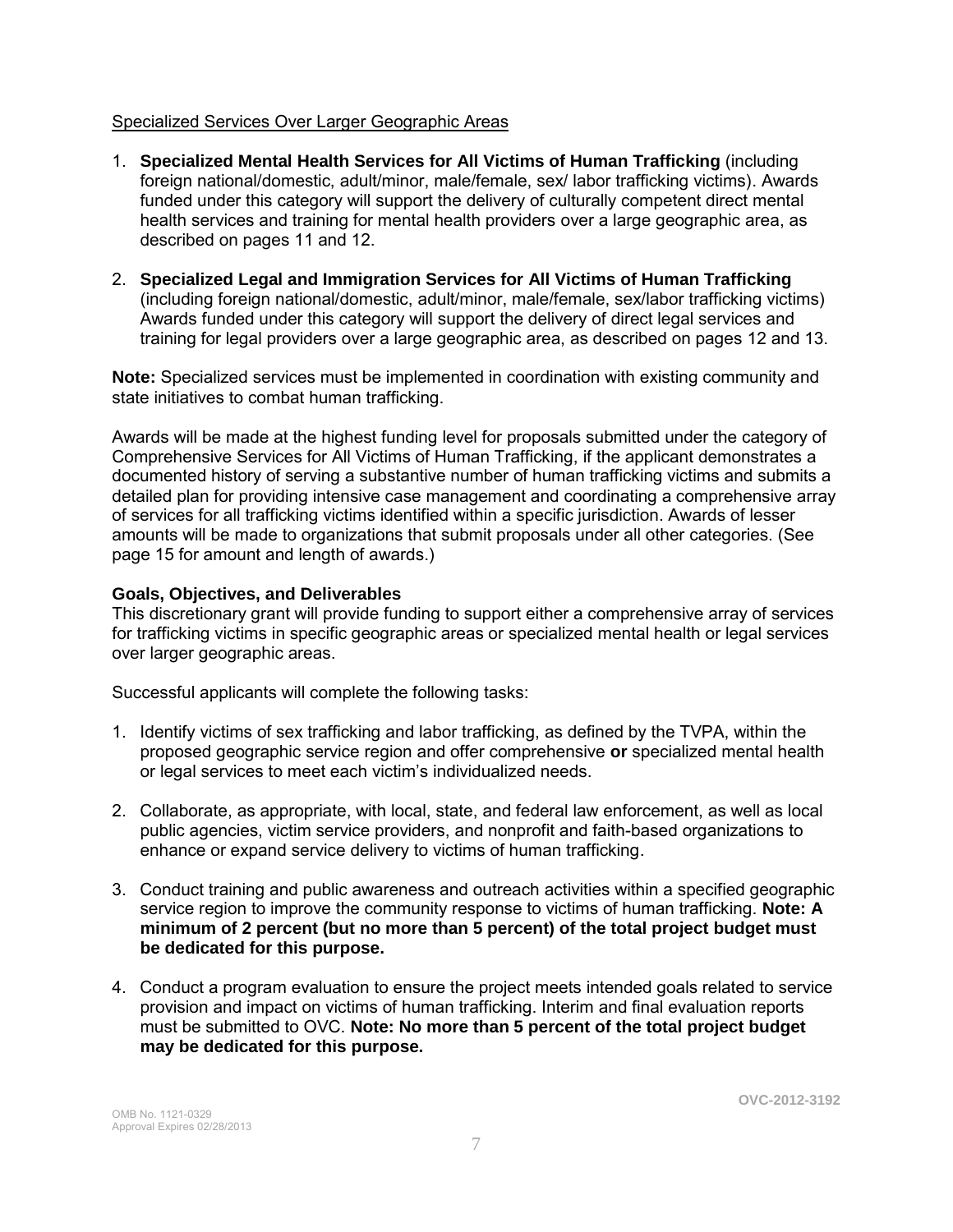### Specialized Services Over Larger Geographic Areas

- 1. **Specialized Mental Health Services for All Victims of Human Trafficking** (including foreign national/domestic, adult/minor, male/female, sex/ labor trafficking victims). Awards funded under this category will support the delivery of culturally competent direct mental health services and training for mental health providers over a large geographic area, as described on pages 11 and 12.
- 2. **Specialized Legal and Immigration Services for All Victims of Human Trafficking** (including foreign national/domestic, adult/minor, male/female, sex/labor trafficking victims) Awards funded under this category will support the delivery of direct legal services and training for legal providers over a large geographic area, as described on pages 12 and 13.

**Note:** Specialized services must be implemented in coordination with existing community and state initiatives to combat human trafficking.

Awards will be made at the highest funding level for proposals submitted under the category of Comprehensive Services for All Victims of Human Trafficking, if the applicant demonstrates a documented history of serving a substantive number of human trafficking victims and submits a detailed plan for providing intensive case management and coordinating a comprehensive array of services for all trafficking victims identified within a specific jurisdiction. Awards of lesser amounts will be made to organizations that submit proposals under all other categories. (See page 15 for amount and length of awards.)

### **Goals, Objectives, and Deliverables**

This discretionary grant will provide funding to support either a comprehensive array of services for trafficking victims in specific geographic areas or specialized mental health or legal services over larger geographic areas.

Successful applicants will complete the following tasks:

- 1. Identify victims of sex trafficking and labor trafficking, as defined by the TVPA, within the proposed geographic service region and offer comprehensive **or** specialized mental health or legal services to meet each victim's individualized needs.
- 2. Collaborate, as appropriate, with local, state, and federal law enforcement, as well as local public agencies, victim service providers, and nonprofit and faith-based organizations to enhance or expand service delivery to victims of human trafficking.
- 3. Conduct training and public awareness and outreach activities within a specified geographic service region to improve the community response to victims of human trafficking. **Note: A minimum of 2 percent (but no more than 5 percent) of the total project budget must be dedicated for this purpose.**
- 4. Conduct a program evaluation to ensure the project meets intended goals related to service provision and impact on victims of human trafficking. Interim and final evaluation reports must be submitted to OVC. **Note: No more than 5 percent of the total project budget may be dedicated for this purpose.**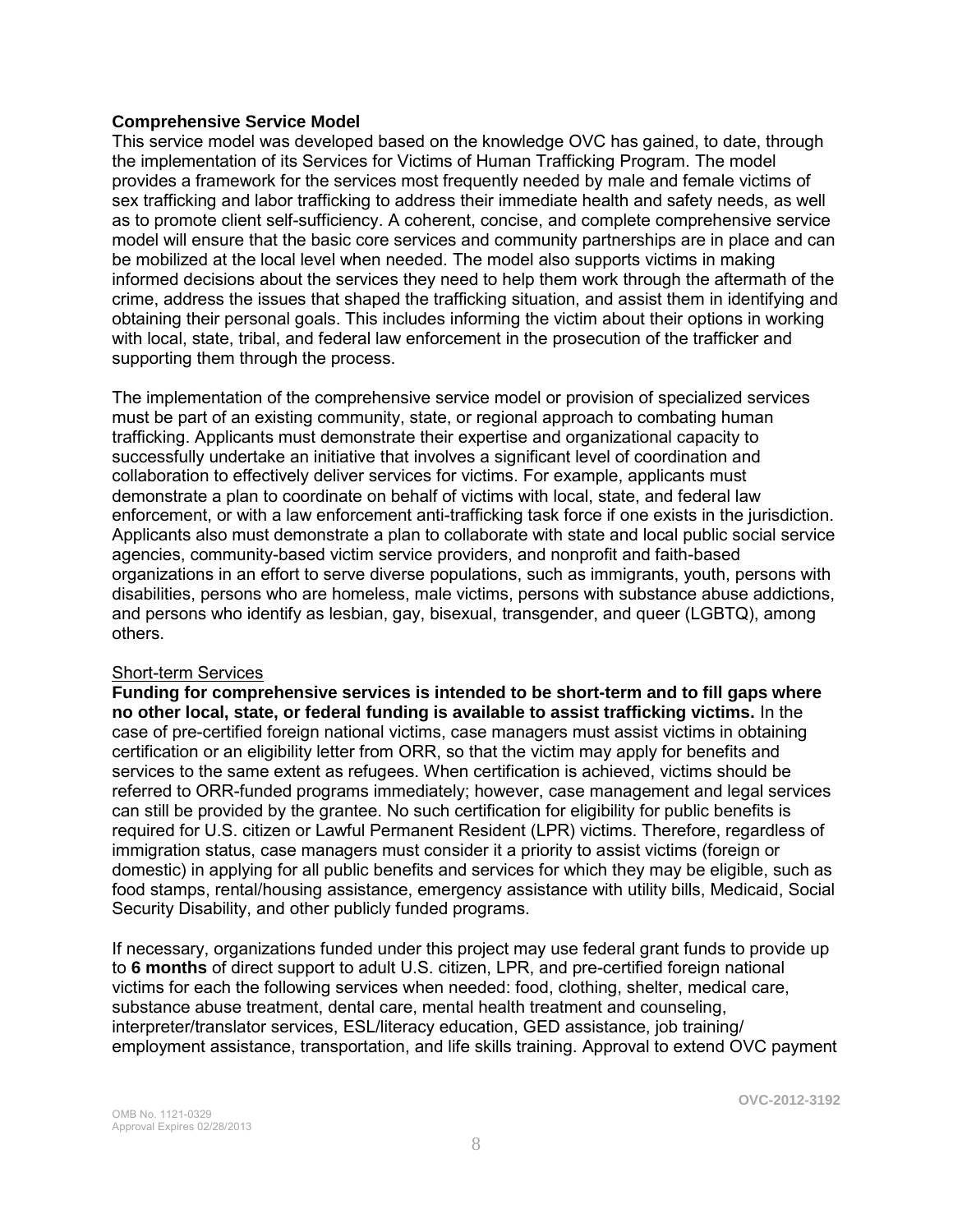#### **Comprehensive Service Model**

This service model was developed based on the knowledge OVC has gained, to date, through the implementation of its Services for Victims of Human Trafficking Program. The model provides a framework for the services most frequently needed by male and female victims of sex trafficking and labor trafficking to address their immediate health and safety needs, as well as to promote client self-sufficiency. A coherent, concise, and complete comprehensive service model will ensure that the basic core services and community partnerships are in place and can be mobilized at the local level when needed. The model also supports victims in making informed decisions about the services they need to help them work through the aftermath of the crime, address the issues that shaped the trafficking situation, and assist them in identifying and obtaining their personal goals. This includes informing the victim about their options in working with local, state, tribal, and federal law enforcement in the prosecution of the trafficker and supporting them through the process.

The implementation of the comprehensive service model or provision of specialized services must be part of an existing community, state, or regional approach to combating human trafficking. Applicants must demonstrate their expertise and organizational capacity to successfully undertake an initiative that involves a significant level of coordination and collaboration to effectively deliver services for victims. For example, applicants must demonstrate a plan to coordinate on behalf of victims with local, state, and federal law enforcement, or with a law enforcement anti-trafficking task force if one exists in the jurisdiction. Applicants also must demonstrate a plan to collaborate with state and local public social service agencies, community-based victim service providers, and nonprofit and faith-based organizations in an effort to serve diverse populations, such as immigrants, youth, persons with disabilities, persons who are homeless, male victims, persons with substance abuse addictions, and persons who identify as lesbian, gay, bisexual, transgender, and queer (LGBTQ), among others.

#### Short-term Services

**Funding for comprehensive services is intended to be short-term and to fill gaps where no other local, state, or federal funding is available to assist trafficking victims.** In the case of pre-certified foreign national victims, case managers must assist victims in obtaining certification or an eligibility letter from ORR, so that the victim may apply for benefits and services to the same extent as refugees. When certification is achieved, victims should be referred to ORR-funded programs immediately; however, case management and legal services can still be provided by the grantee. No such certification for eligibility for public benefits is required for U.S. citizen or Lawful Permanent Resident (LPR) victims. Therefore, regardless of immigration status, case managers must consider it a priority to assist victims (foreign or domestic) in applying for all public benefits and services for which they may be eligible, such as food stamps, rental/housing assistance, emergency assistance with utility bills, Medicaid, Social Security Disability, and other publicly funded programs.

If necessary, organizations funded under this project may use federal grant funds to provide up to **6 months** of direct support to adult U.S. citizen, LPR, and pre-certified foreign national victims for each the following services when needed: food, clothing, shelter, medical care, substance abuse treatment, dental care, mental health treatment and counseling, interpreter/translator services, ESL/literacy education, GED assistance, job training/ employment assistance, transportation, and life skills training. Approval to extend OVC payment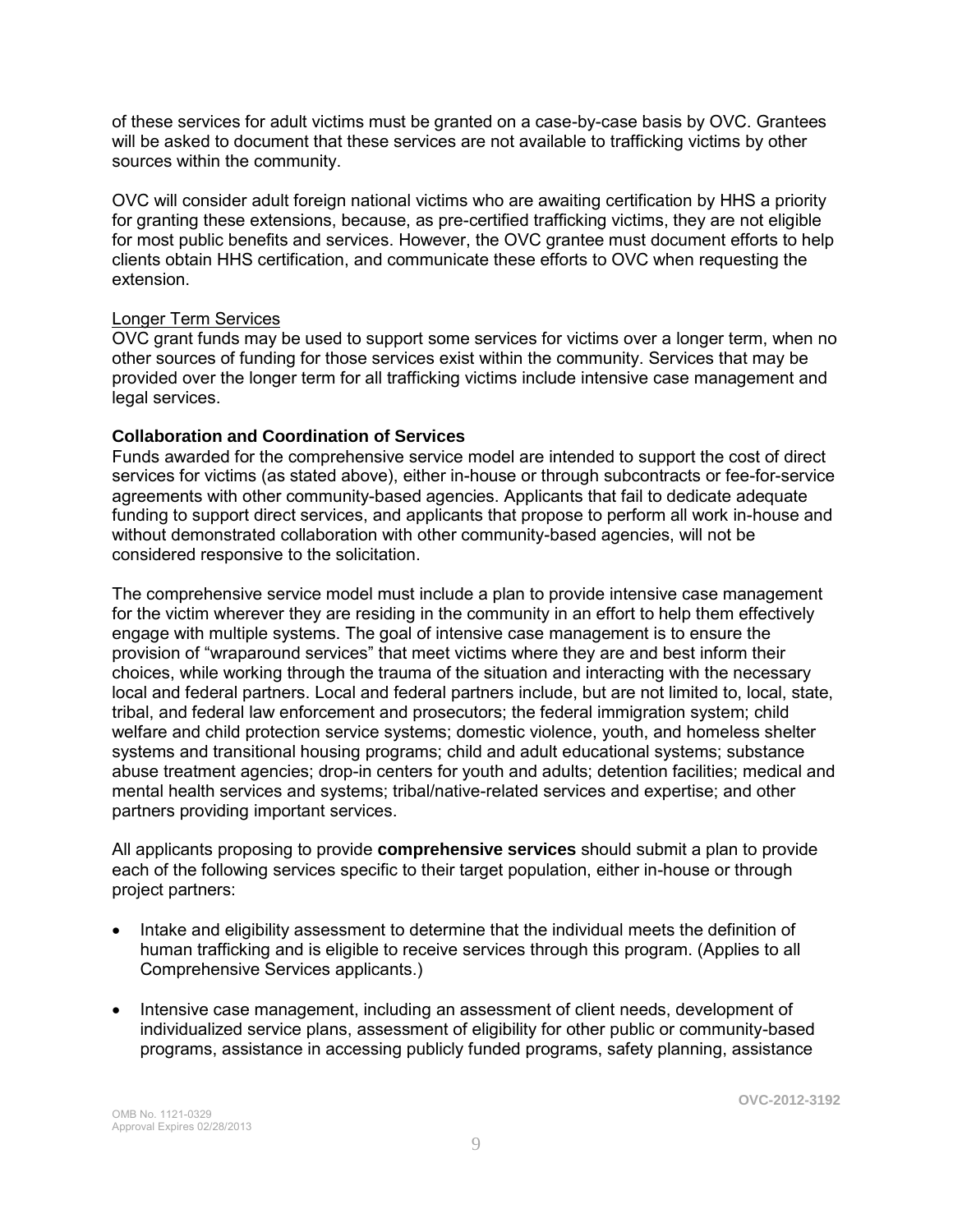of these services for adult victims must be granted on a case-by-case basis by OVC. Grantees will be asked to document that these services are not available to trafficking victims by other sources within the community.

OVC will consider adult foreign national victims who are awaiting certification by HHS a priority for granting these extensions, because, as pre-certified trafficking victims, they are not eligible for most public benefits and services. However, the OVC grantee must document efforts to help clients obtain HHS certification, and communicate these efforts to OVC when requesting the extension.

### Longer Term Services

OVC grant funds may be used to support some services for victims over a longer term, when no other sources of funding for those services exist within the community. Services that may be provided over the longer term for all trafficking victims include intensive case management and legal services.

### **Collaboration and Coordination of Services**

Funds awarded for the comprehensive service model are intended to support the cost of direct services for victims (as stated above), either in-house or through subcontracts or fee-for-service agreements with other community-based agencies. Applicants that fail to dedicate adequate funding to support direct services, and applicants that propose to perform all work in-house and without demonstrated collaboration with other community-based agencies, will not be considered responsive to the solicitation.

The comprehensive service model must include a plan to provide intensive case management for the victim wherever they are residing in the community in an effort to help them effectively engage with multiple systems. The goal of intensive case management is to ensure the provision of "wraparound services" that meet victims where they are and best inform their choices, while working through the trauma of the situation and interacting with the necessary local and federal partners. Local and federal partners include, but are not limited to, local, state, tribal, and federal law enforcement and prosecutors; the federal immigration system; child welfare and child protection service systems; domestic violence, youth, and homeless shelter systems and transitional housing programs; child and adult educational systems; substance abuse treatment agencies; drop-in centers for youth and adults; detention facilities; medical and mental health services and systems; tribal/native-related services and expertise; and other partners providing important services.

All applicants proposing to provide **comprehensive services** should submit a plan to provide each of the following services specific to their target population, either in-house or through project partners:

- Intake and eligibility assessment to determine that the individual meets the definition of human trafficking and is eligible to receive services through this program. (Applies to all Comprehensive Services applicants.)
- Intensive case management, including an assessment of client needs, development of individualized service plans, assessment of eligibility for other public or community-based programs, assistance in accessing publicly funded programs, safety planning, assistance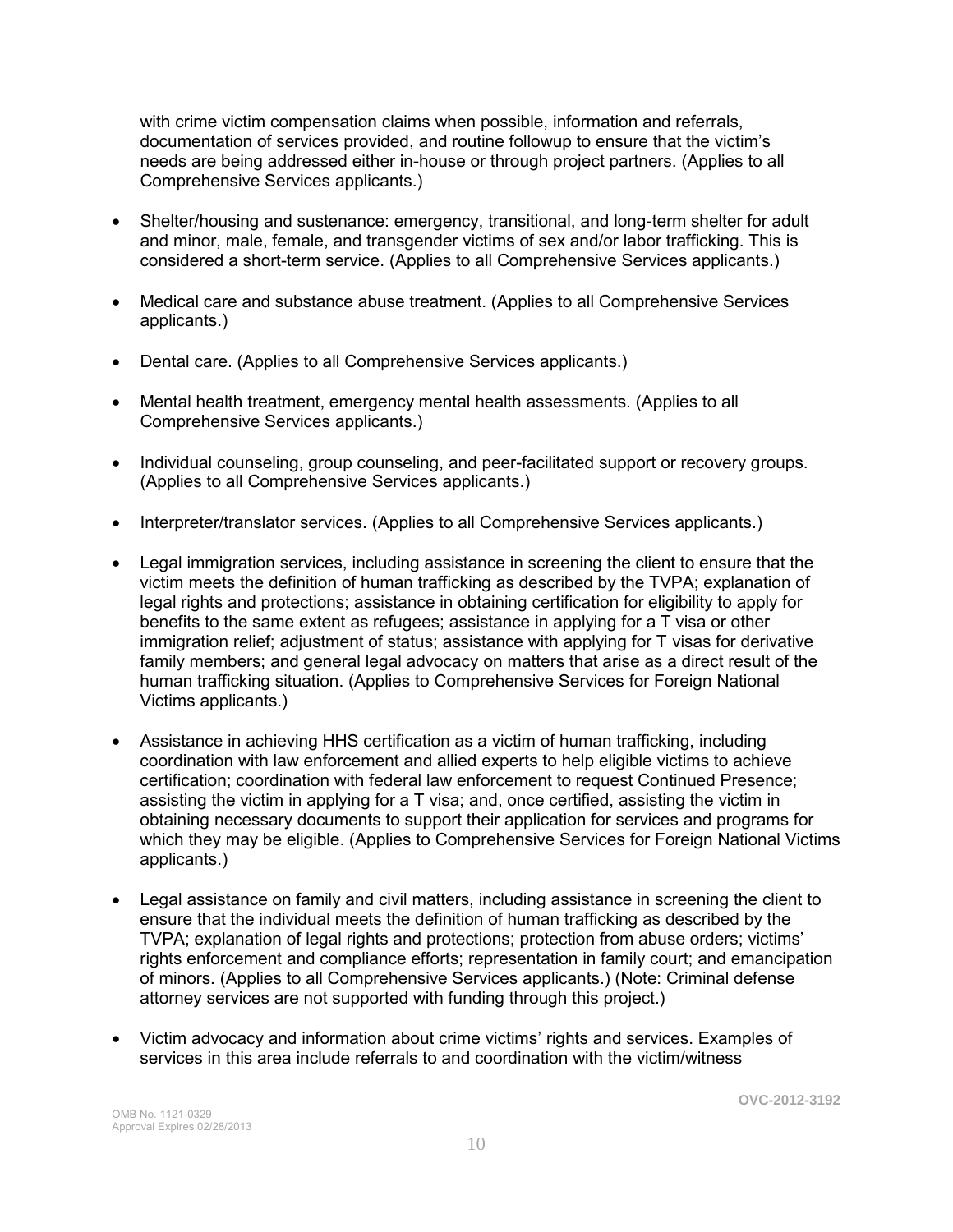with crime victim compensation claims when possible, information and referrals, documentation of services provided, and routine followup to ensure that the victim's needs are being addressed either in-house or through project partners. (Applies to all Comprehensive Services applicants.)

- Shelter/housing and sustenance: emergency, transitional, and long-term shelter for adult and minor, male, female, and transgender victims of sex and/or labor trafficking. This is considered a short-term service. (Applies to all Comprehensive Services applicants.)
- Medical care and substance abuse treatment. (Applies to all Comprehensive Services applicants.)
- Dental care. (Applies to all Comprehensive Services applicants.)
- Mental health treatment, emergency mental health assessments. (Applies to all Comprehensive Services applicants.)
- Individual counseling, group counseling, and peer-facilitated support or recovery groups. (Applies to all Comprehensive Services applicants.)
- Interpreter/translator services. (Applies to all Comprehensive Services applicants.)
- Legal immigration services, including assistance in screening the client to ensure that the victim meets the definition of human trafficking as described by the TVPA; explanation of legal rights and protections; assistance in obtaining certification for eligibility to apply for benefits to the same extent as refugees; assistance in applying for a T visa or other immigration relief; adjustment of status; assistance with applying for T visas for derivative family members; and general legal advocacy on matters that arise as a direct result of the human trafficking situation. (Applies to Comprehensive Services for Foreign National Victims applicants.)
- Assistance in achieving HHS certification as a victim of human trafficking, including coordination with law enforcement and allied experts to help eligible victims to achieve certification; coordination with federal law enforcement to request Continued Presence; assisting the victim in applying for a T visa; and, once certified, assisting the victim in obtaining necessary documents to support their application for services and programs for which they may be eligible. (Applies to Comprehensive Services for Foreign National Victims applicants.)
- Legal assistance on family and civil matters, including assistance in screening the client to ensure that the individual meets the definition of human trafficking as described by the TVPA; explanation of legal rights and protections; protection from abuse orders; victims' rights enforcement and compliance efforts; representation in family court; and emancipation of minors. (Applies to all Comprehensive Services applicants.) (Note: Criminal defense attorney services are not supported with funding through this project.)
- Victim advocacy and information about crime victims' rights and services. Examples of services in this area include referrals to and coordination with the victim/witness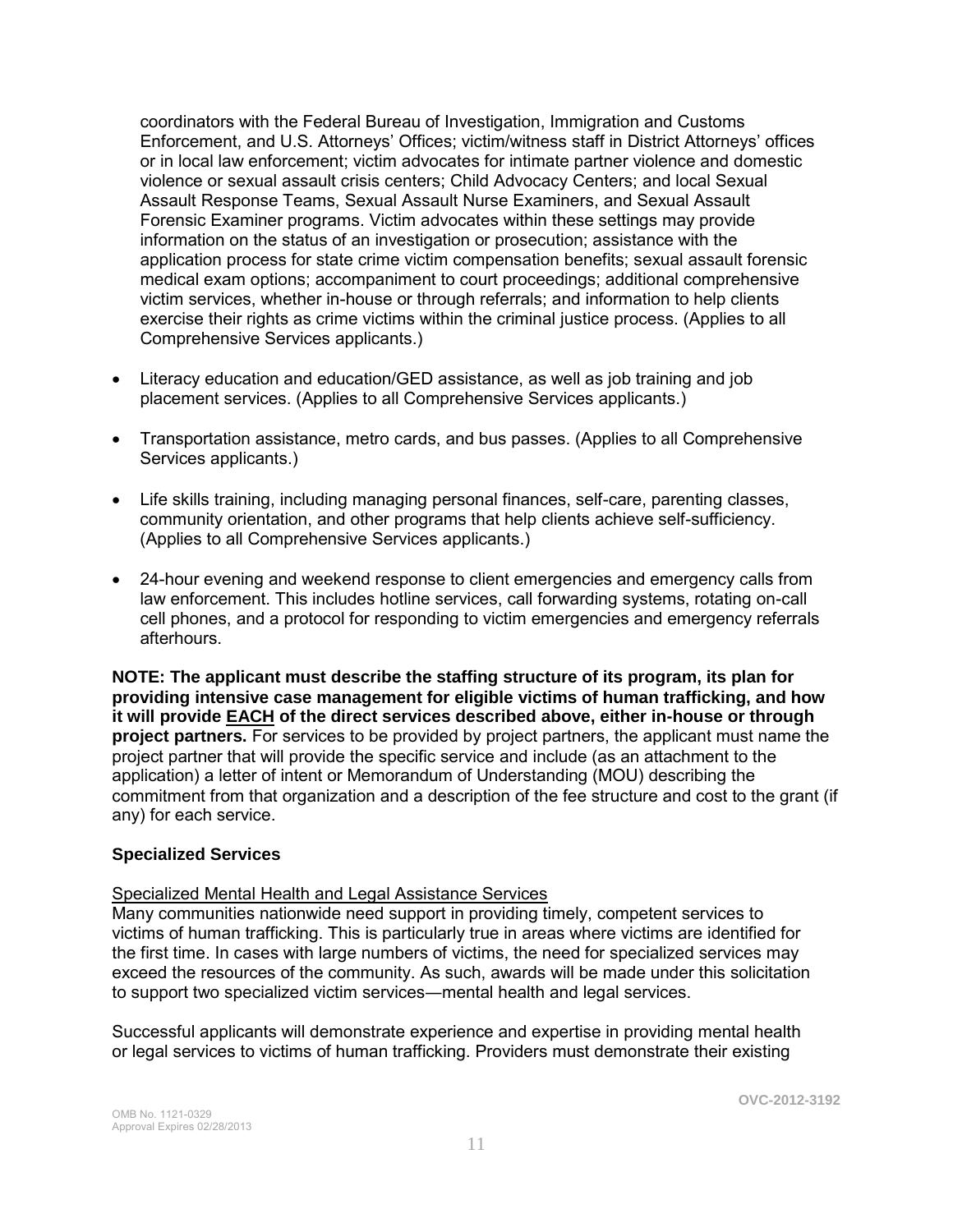coordinators with the Federal Bureau of Investigation, Immigration and Customs Enforcement, and U.S. Attorneys' Offices; victim/witness staff in District Attorneys' offices or in local law enforcement; victim advocates for intimate partner violence and domestic violence or sexual assault crisis centers; Child Advocacy Centers; and local Sexual Assault Response Teams, Sexual Assault Nurse Examiners, and Sexual Assault Forensic Examiner programs. Victim advocates within these settings may provide information on the status of an investigation or prosecution; assistance with the application process for state crime victim compensation benefits; sexual assault forensic medical exam options; accompaniment to court proceedings; additional comprehensive victim services, whether in-house or through referrals; and information to help clients exercise their rights as crime victims within the criminal justice process. (Applies to all Comprehensive Services applicants.)

- Literacy education and education/GED assistance, as well as job training and job placement services. (Applies to all Comprehensive Services applicants.)
- Transportation assistance, metro cards, and bus passes. (Applies to all Comprehensive Services applicants.)
- Life skills training, including managing personal finances, self-care, parenting classes, community orientation, and other programs that help clients achieve self-sufficiency. (Applies to all Comprehensive Services applicants.)
- 24-hour evening and weekend response to client emergencies and emergency calls from law enforcement. This includes hotline services, call forwarding systems, rotating on-call cell phones, and a protocol for responding to victim emergencies and emergency referrals afterhours.

**NOTE: The applicant must describe the staffing structure of its program, its plan for providing intensive case management for eligible victims of human trafficking, and how it will provide EACH of the direct services described above, either in-house or through project partners.** For services to be provided by project partners, the applicant must name the project partner that will provide the specific service and include (as an attachment to the application) a letter of intent or Memorandum of Understanding (MOU) describing the commitment from that organization and a description of the fee structure and cost to the grant (if any) for each service.

#### **Specialized Services**

### Specialized Mental Health and Legal Assistance Services

Many communities nationwide need support in providing timely, competent services to victims of human trafficking. This is particularly true in areas where victims are identified for the first time. In cases with large numbers of victims, the need for specialized services may exceed the resources of the community. As such, awards will be made under this solicitation to support two specialized victim services―mental health and legal services.

Successful applicants will demonstrate experience and expertise in providing mental health or legal services to victims of human trafficking. Providers must demonstrate their existing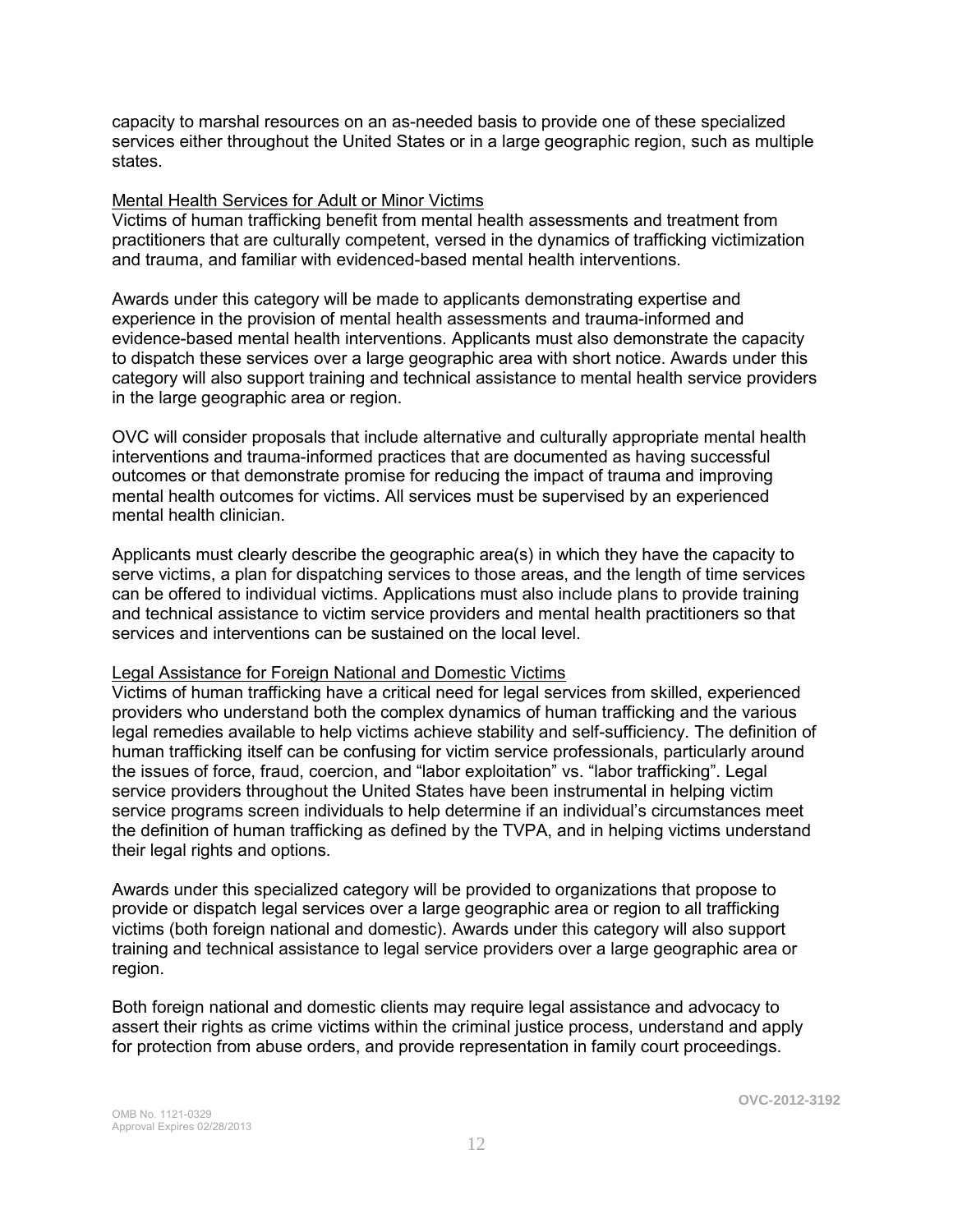capacity to marshal resources on an as-needed basis to provide one of these specialized services either throughout the United States or in a large geographic region, such as multiple states.

#### Mental Health Services for Adult or Minor Victims

Victims of human trafficking benefit from mental health assessments and treatment from practitioners that are culturally competent, versed in the dynamics of trafficking victimization and trauma, and familiar with evidenced-based mental health interventions.

Awards under this category will be made to applicants demonstrating expertise and experience in the provision of mental health assessments and trauma-informed and evidence-based mental health interventions. Applicants must also demonstrate the capacity to dispatch these services over a large geographic area with short notice. Awards under this category will also support training and technical assistance to mental health service providers in the large geographic area or region.

OVC will consider proposals that include alternative and culturally appropriate mental health interventions and trauma-informed practices that are documented as having successful outcomes or that demonstrate promise for reducing the impact of trauma and improving mental health outcomes for victims. All services must be supervised by an experienced mental health clinician.

Applicants must clearly describe the geographic area(s) in which they have the capacity to serve victims, a plan for dispatching services to those areas, and the length of time services can be offered to individual victims. Applications must also include plans to provide training and technical assistance to victim service providers and mental health practitioners so that services and interventions can be sustained on the local level.

#### Legal Assistance for Foreign National and Domestic Victims

Victims of human trafficking have a critical need for legal services from skilled, experienced providers who understand both the complex dynamics of human trafficking and the various legal remedies available to help victims achieve stability and self-sufficiency. The definition of human trafficking itself can be confusing for victim service professionals, particularly around the issues of force, fraud, coercion, and "labor exploitation" vs. "labor trafficking". Legal service providers throughout the United States have been instrumental in helping victim service programs screen individuals to help determine if an individual's circumstances meet the definition of human trafficking as defined by the TVPA, and in helping victims understand their legal rights and options.

Awards under this specialized category will be provided to organizations that propose to provide or dispatch legal services over a large geographic area or region to all trafficking victims (both foreign national and domestic). Awards under this category will also support training and technical assistance to legal service providers over a large geographic area or region.

Both foreign national and domestic clients may require legal assistance and advocacy to assert their rights as crime victims within the criminal justice process, understand and apply for protection from abuse orders, and provide representation in family court proceedings.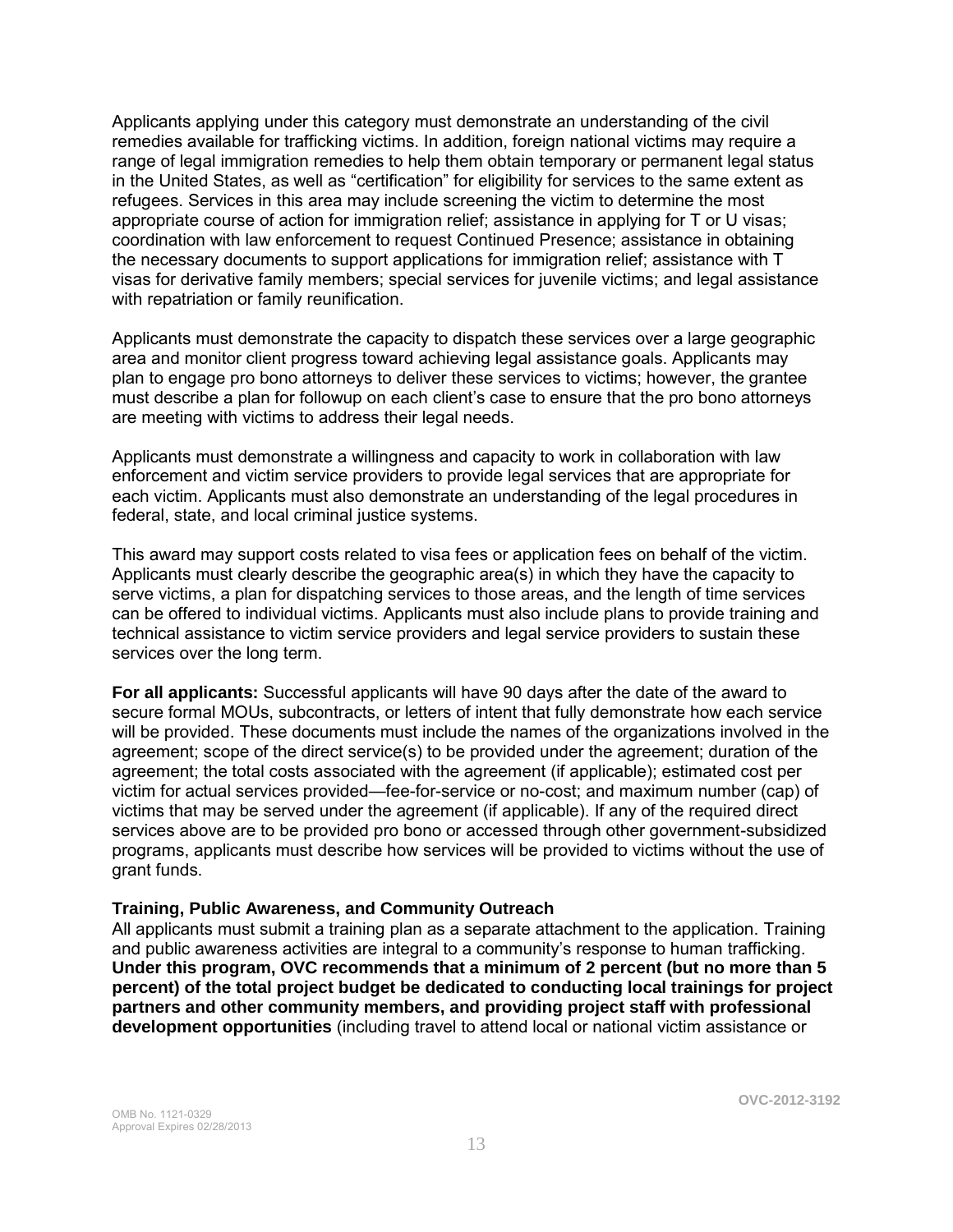Applicants applying under this category must demonstrate an understanding of the civil remedies available for trafficking victims. In addition, foreign national victims may require a range of legal immigration remedies to help them obtain temporary or permanent legal status in the United States, as well as "certification" for eligibility for services to the same extent as refugees. Services in this area may include screening the victim to determine the most appropriate course of action for immigration relief; assistance in applying for T or U visas; coordination with law enforcement to request Continued Presence; assistance in obtaining the necessary documents to support applications for immigration relief; assistance with T visas for derivative family members; special services for juvenile victims; and legal assistance with repatriation or family reunification.

Applicants must demonstrate the capacity to dispatch these services over a large geographic area and monitor client progress toward achieving legal assistance goals. Applicants may plan to engage pro bono attorneys to deliver these services to victims; however, the grantee must describe a plan for followup on each client's case to ensure that the pro bono attorneys are meeting with victims to address their legal needs.

Applicants must demonstrate a willingness and capacity to work in collaboration with law enforcement and victim service providers to provide legal services that are appropriate for each victim. Applicants must also demonstrate an understanding of the legal procedures in federal, state, and local criminal justice systems.

This award may support costs related to visa fees or application fees on behalf of the victim. Applicants must clearly describe the geographic area(s) in which they have the capacity to serve victims, a plan for dispatching services to those areas, and the length of time services can be offered to individual victims. Applicants must also include plans to provide training and technical assistance to victim service providers and legal service providers to sustain these services over the long term.

**For all applicants:** Successful applicants will have 90 days after the date of the award to secure formal MOUs, subcontracts, or letters of intent that fully demonstrate how each service will be provided. These documents must include the names of the organizations involved in the agreement; scope of the direct service(s) to be provided under the agreement; duration of the agreement; the total costs associated with the agreement (if applicable); estimated cost per victim for actual services provided—fee-for-service or no-cost; and maximum number (cap) of victims that may be served under the agreement (if applicable). If any of the required direct services above are to be provided pro bono or accessed through other government-subsidized programs, applicants must describe how services will be provided to victims without the use of grant funds.

#### **Training, Public Awareness, and Community Outreach**

All applicants must submit a training plan as a separate attachment to the application. Training and public awareness activities are integral to a community's response to human trafficking. **Under this program, OVC recommends that a minimum of 2 percent (but no more than 5 percent) of the total project budget be dedicated to conducting local trainings for project partners and other community members, and providing project staff with professional development opportunities** (including travel to attend local or national victim assistance or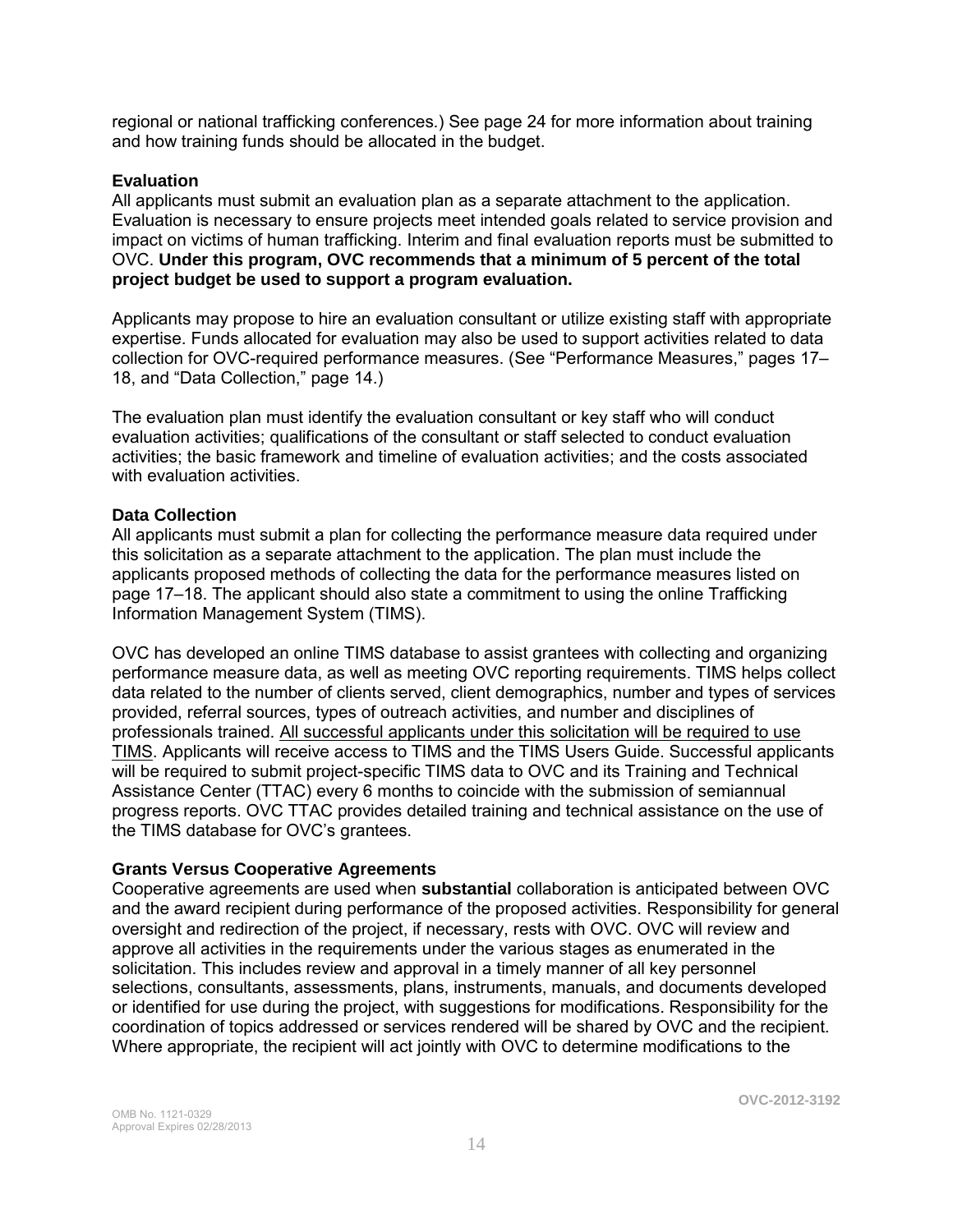regional or national trafficking conferences.) See page 24 for more information about training and how training funds should be allocated in the budget.

### **Evaluation**

All applicants must submit an evaluation plan as a separate attachment to the application. Evaluation is necessary to ensure projects meet intended goals related to service provision and impact on victims of human trafficking. Interim and final evaluation reports must be submitted to OVC. **Under this program, OVC recommends that a minimum of 5 percent of the total project budget be used to support a program evaluation.** 

Applicants may propose to hire an evaluation consultant or utilize existing staff with appropriate expertise. Funds allocated for evaluation may also be used to support activities related to data collection for OVC-required performance measures. (See "Performance Measures," pages 17– 18, and "Data Collection," page 14.)

The evaluation plan must identify the evaluation consultant or key staff who will conduct evaluation activities; qualifications of the consultant or staff selected to conduct evaluation activities; the basic framework and timeline of evaluation activities; and the costs associated with evaluation activities.

### **Data Collection**

All applicants must submit a plan for collecting the performance measure data required under this solicitation as a separate attachment to the application. The plan must include the applicants proposed methods of collecting the data for the performance measures listed on page 17–18. The applicant should also state a commitment to using the online Trafficking Information Management System (TIMS).

OVC has developed an online TIMS database to assist grantees with collecting and organizing performance measure data, as well as meeting OVC reporting requirements. TIMS helps collect data related to the number of clients served, client demographics, number and types of services provided, referral sources, types of outreach activities, and number and disciplines of professionals trained. All successful applicants under this solicitation will be required to use TIMS. Applicants will receive access to TIMS and the TIMS Users Guide. Successful applicants will be required to submit project-specific TIMS data to OVC and its Training and Technical Assistance Center (TTAC) every 6 months to coincide with the submission of semiannual progress reports. OVC TTAC provides detailed training and technical assistance on the use of the TIMS database for OVC's grantees.

### **Grants Versus Cooperative Agreements**

Cooperative agreements are used when **substantial** collaboration is anticipated between OVC and the award recipient during performance of the proposed activities. Responsibility for general oversight and redirection of the project, if necessary, rests with OVC. OVC will review and approve all activities in the requirements under the various stages as enumerated in the solicitation. This includes review and approval in a timely manner of all key personnel selections, consultants, assessments, plans, instruments, manuals, and documents developed or identified for use during the project, with suggestions for modifications. Responsibility for the coordination of topics addressed or services rendered will be shared by OVC and the recipient. Where appropriate, the recipient will act jointly with OVC to determine modifications to the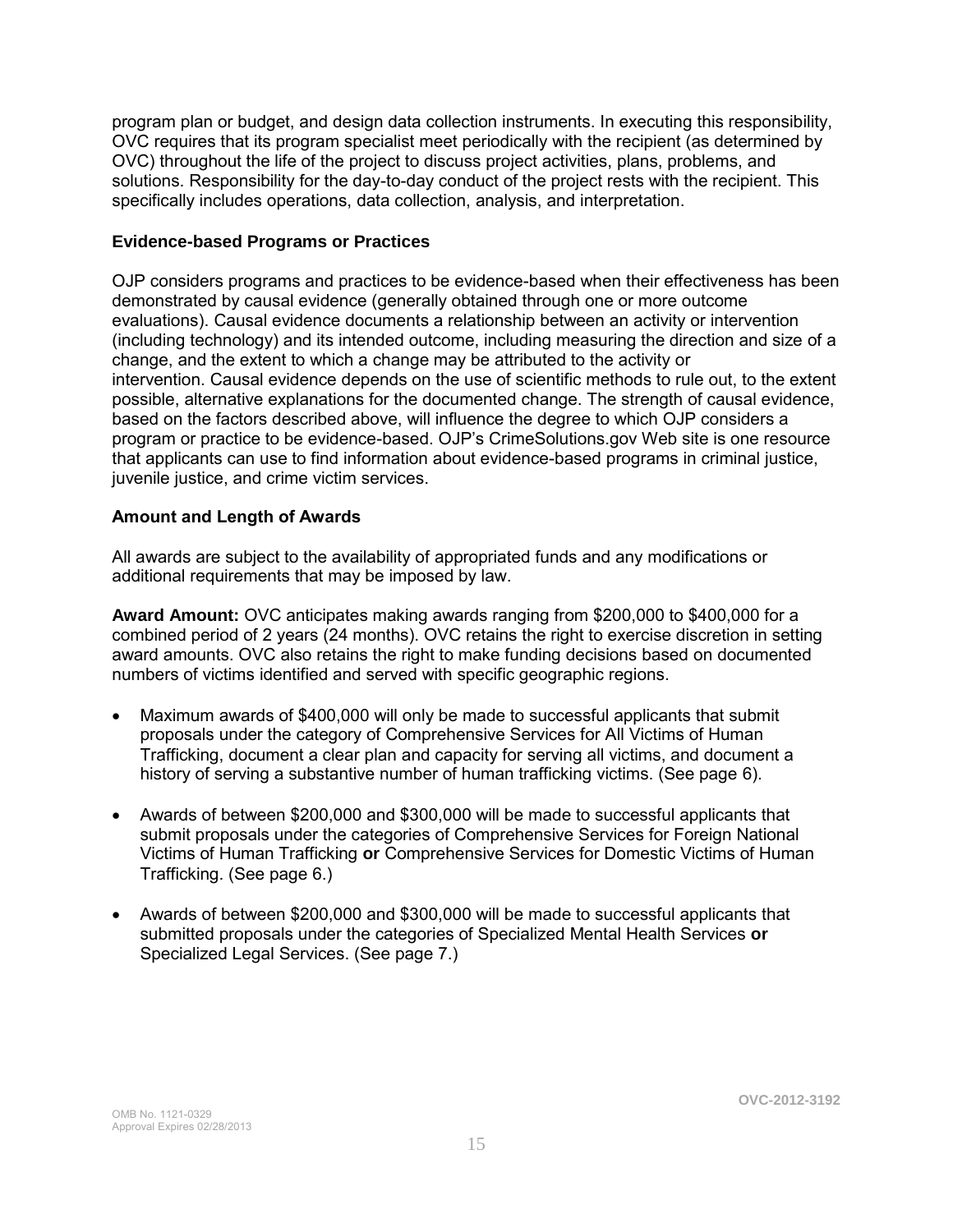program plan or budget, and design data collection instruments. In executing this responsibility, OVC requires that its program specialist meet periodically with the recipient (as determined by OVC) throughout the life of the project to discuss project activities, plans, problems, and solutions. Responsibility for the day-to-day conduct of the project rests with the recipient. This specifically includes operations, data collection, analysis, and interpretation.

### **Evidence-based Programs or Practices**

OJP considers programs and practices to be evidence-based when their effectiveness has been demonstrated by causal evidence (generally obtained through one or more outcome evaluations). Causal evidence documents a relationship between an activity or intervention (including technology) and its intended outcome, including measuring the direction and size of a change, and the extent to which a change may be attributed to the activity or intervention. Causal evidence depends on the use of scientific methods to rule out, to the extent possible, alternative explanations for the documented change. The strength of causal evidence, based on the factors described above, will influence the degree to which OJP considers a program or practice to be evidence-based. OJP's CrimeSolutions.gov Web site is one resource that applicants can use to find information about evidence-based programs in criminal justice, juvenile justice, and crime victim services.

### **Amount and Length of Awards**

All awards are subject to the availability of appropriated funds and any modifications or additional requirements that may be imposed by law.

**Award Amount:** OVC anticipates making awards ranging from \$200,000 to \$400,000 for a combined period of 2 years (24 months). OVC retains the right to exercise discretion in setting award amounts. OVC also retains the right to make funding decisions based on documented numbers of victims identified and served with specific geographic regions.

- Maximum awards of \$400,000 will only be made to successful applicants that submit proposals under the category of Comprehensive Services for All Victims of Human Trafficking, document a clear plan and capacity for serving all victims, and document a history of serving a substantive number of human trafficking victims. (See page 6).
- Awards of between \$200,000 and \$300,000 will be made to successful applicants that submit proposals under the categories of Comprehensive Services for Foreign National Victims of Human Trafficking **or** Comprehensive Services for Domestic Victims of Human Trafficking. (See page 6.)
- Awards of between \$200,000 and \$300,000 will be made to successful applicants that submitted proposals under the categories of Specialized Mental Health Services **or**  Specialized Legal Services. (See page 7.)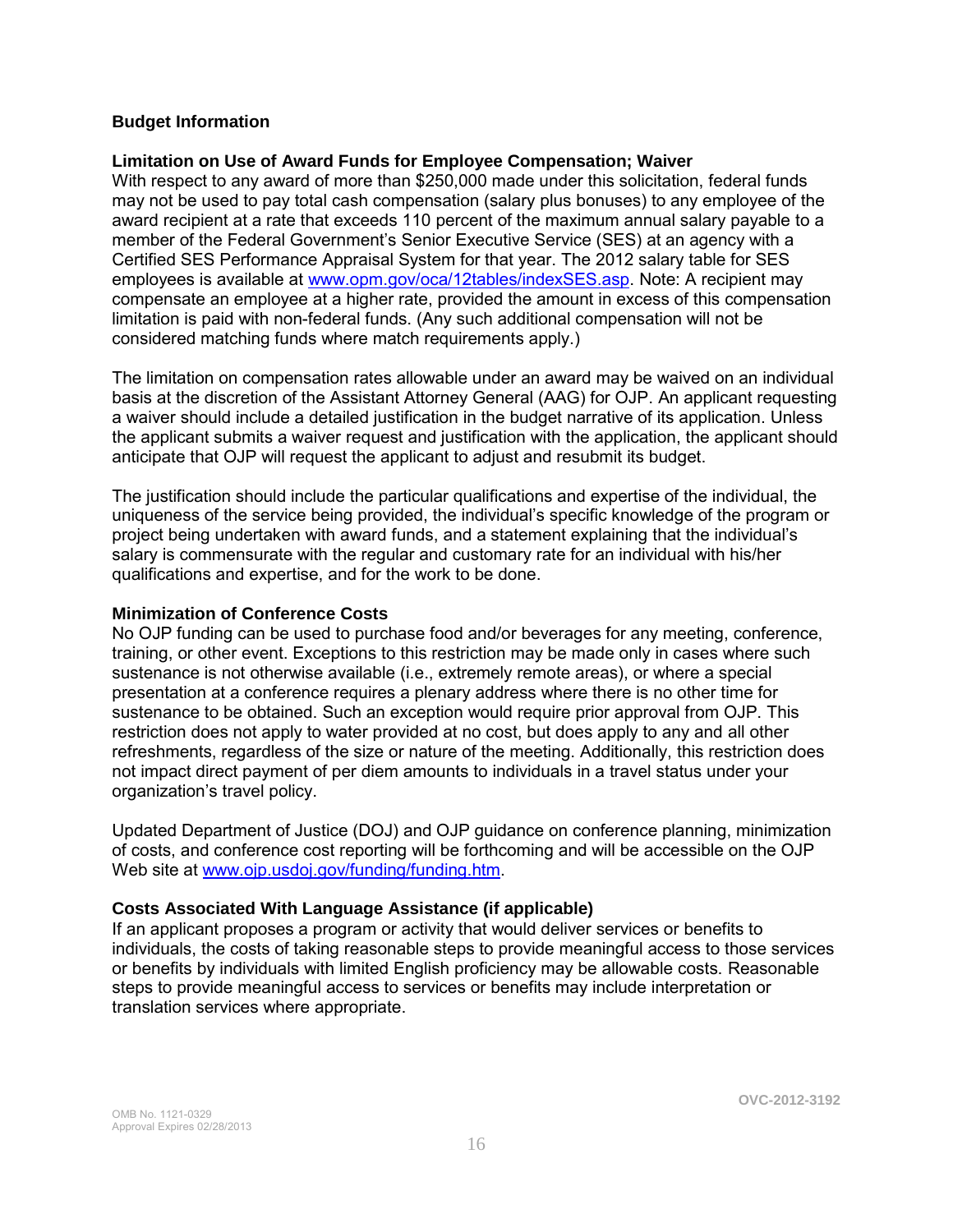### **Budget Information**

#### **Limitation on Use of Award Funds for Employee Compensation; Waiver**

With respect to any award of more than \$250,000 made under this solicitation, federal funds may not be used to pay total cash compensation (salary plus bonuses) to any employee of the award recipient at a rate that exceeds 110 percent of the maximum annual salary payable to a member of the Federal Government's Senior Executive Service (SES) at an agency with a Certified SES Performance Appraisal System for that year. The 2012 salary table for SES employees is available at [www.opm.gov/oca/12tables/indexSES.asp.](http://www.opm.gov/oca/12tables/indexSES.asp) Note: A recipient may compensate an employee at a higher rate, provided the amount in excess of this compensation limitation is paid with non-federal funds. (Any such additional compensation will not be considered matching funds where match requirements apply.)

The limitation on compensation rates allowable under an award may be waived on an individual basis at the discretion of the Assistant Attorney General (AAG) for OJP. An applicant requesting a waiver should include a detailed justification in the budget narrative of its application. Unless the applicant submits a waiver request and justification with the application, the applicant should anticipate that OJP will request the applicant to adjust and resubmit its budget.

The justification should include the particular qualifications and expertise of the individual, the uniqueness of the service being provided, the individual's specific knowledge of the program or project being undertaken with award funds, and a statement explaining that the individual's salary is commensurate with the regular and customary rate for an individual with his/her qualifications and expertise, and for the work to be done.

#### **Minimization of Conference Costs**

No OJP funding can be used to purchase food and/or beverages for any meeting, conference, training, or other event. Exceptions to this restriction may be made only in cases where such sustenance is not otherwise available (i.e., extremely remote areas), or where a special presentation at a conference requires a plenary address where there is no other time for sustenance to be obtained. Such an exception would require prior approval from OJP. This restriction does not apply to water provided at no cost, but does apply to any and all other refreshments, regardless of the size or nature of the meeting. Additionally, this restriction does not impact direct payment of per diem amounts to individuals in a travel status under your organization's travel policy.

Updated Department of Justice (DOJ) and OJP guidance on conference planning, minimization of costs, and conference cost reporting will be forthcoming and will be accessible on the OJP Web site at [www.ojp.usdoj.gov/funding/funding.htm.](http://www.ojp.usdoj.gov/funding/funding.htm)

### **Costs Associated With Language Assistance (if applicable)**

If an applicant proposes a program or activity that would deliver services or benefits to individuals, the costs of taking reasonable steps to provide meaningful access to those services or benefits by individuals with limited English proficiency may be allowable costs. Reasonable steps to provide meaningful access to services or benefits may include interpretation or translation services where appropriate.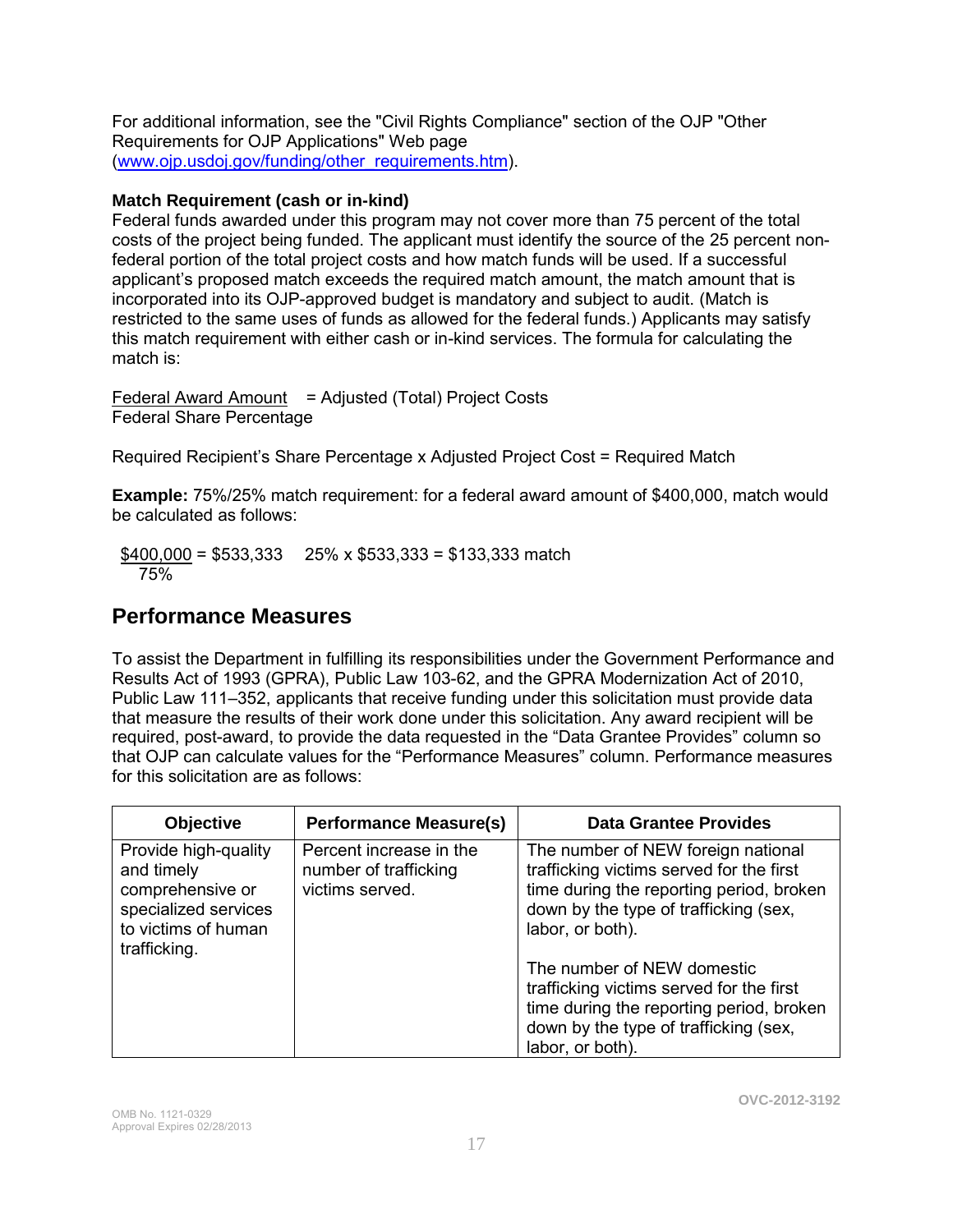For additional information, see the "Civil Rights Compliance" section of the OJP "Other Requirements for OJP Applications" Web page [\(www.ojp.usdoj.gov/funding/other\\_requirements.htm\)](http://www.ojp.usdoj.gov/funding/other_requirements.htm).

### **Match Requirement (cash or in-kind)**

Federal funds awarded under this program may not cover more than 75 percent of the total costs of the project being funded. The applicant must identify the source of the 25 percent nonfederal portion of the total project costs and how match funds will be used. If a successful applicant's proposed match exceeds the required match amount, the match amount that is incorporated into its OJP-approved budget is mandatory and subject to audit. (Match is restricted to the same uses of funds as allowed for the federal funds.) Applicants may satisfy this match requirement with either cash or in-kind services. The formula for calculating the match is:

Federal Award Amount = Adjusted (Total) Project Costs Federal Share Percentage

Required Recipient's Share Percentage x Adjusted Project Cost = Required Match

**Example:** 75%/25% match requirement: for a federal award amount of \$400,000, match would be calculated as follows:

 $$400,000 = $533,333$  25% x \$533,333 = \$133,333 match 75%

### **Performance Measures**

To assist the Department in fulfilling its responsibilities under the Government Performance and Results Act of 1993 (GPRA), Public Law 103-62, and the GPRA Modernization Act of 2010, Public Law 111–352, applicants that receive funding under this solicitation must provide data that measure the results of their work done under this solicitation. Any award recipient will be required, post-award, to provide the data requested in the "Data Grantee Provides" column so that OJP can calculate values for the "Performance Measures" column. Performance measures for this solicitation are as follows:

| <b>Objective</b>                                                                                                      | <b>Performance Measure(s)</b>                                       | <b>Data Grantee Provides</b>                                                                                                                                                            |
|-----------------------------------------------------------------------------------------------------------------------|---------------------------------------------------------------------|-----------------------------------------------------------------------------------------------------------------------------------------------------------------------------------------|
| Provide high-quality<br>and timely<br>comprehensive or<br>specialized services<br>to victims of human<br>trafficking. | Percent increase in the<br>number of trafficking<br>victims served. | The number of NEW foreign national<br>trafficking victims served for the first<br>time during the reporting period, broken<br>down by the type of trafficking (sex,<br>labor, or both). |
|                                                                                                                       |                                                                     | The number of NEW domestic<br>trafficking victims served for the first<br>time during the reporting period, broken<br>down by the type of trafficking (sex,<br>labor, or both).         |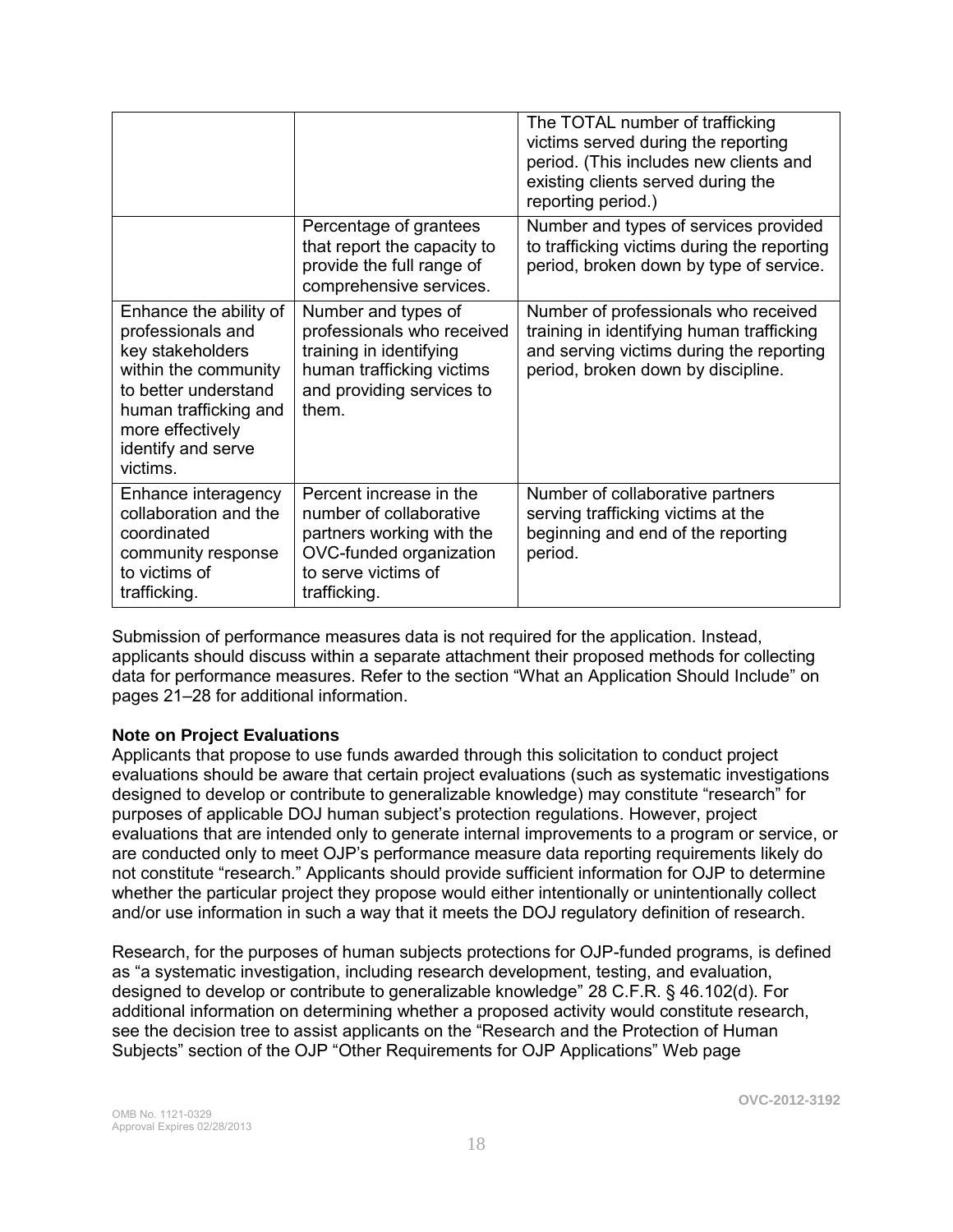|                                                                                                                                                                                                |                                                                                                                                                   | The TOTAL number of trafficking<br>victims served during the reporting<br>period. (This includes new clients and<br>existing clients served during the<br>reporting period.) |
|------------------------------------------------------------------------------------------------------------------------------------------------------------------------------------------------|---------------------------------------------------------------------------------------------------------------------------------------------------|------------------------------------------------------------------------------------------------------------------------------------------------------------------------------|
|                                                                                                                                                                                                | Percentage of grantees<br>that report the capacity to<br>provide the full range of<br>comprehensive services.                                     | Number and types of services provided<br>to trafficking victims during the reporting<br>period, broken down by type of service.                                              |
| Enhance the ability of<br>professionals and<br>key stakeholders<br>within the community<br>to better understand<br>human trafficking and<br>more effectively<br>identify and serve<br>victims. | Number and types of<br>professionals who received<br>training in identifying<br>human trafficking victims<br>and providing services to<br>them.   | Number of professionals who received<br>training in identifying human trafficking<br>and serving victims during the reporting<br>period, broken down by discipline.          |
| Enhance interagency<br>collaboration and the<br>coordinated<br>community response<br>to victims of<br>trafficking.                                                                             | Percent increase in the<br>number of collaborative<br>partners working with the<br>OVC-funded organization<br>to serve victims of<br>trafficking. | Number of collaborative partners<br>serving trafficking victims at the<br>beginning and end of the reporting<br>period.                                                      |

Submission of performance measures data is not required for the application. Instead, applicants should discuss within a separate attachment their proposed methods for collecting data for performance measures. Refer to the section "What an Application Should Include" on pages 21–28 for additional information.

### **Note on Project Evaluations**

Applicants that propose to use funds awarded through this solicitation to conduct project evaluations should be aware that certain project evaluations (such as systematic investigations designed to develop or contribute to generalizable knowledge) may constitute "research" for purposes of applicable DOJ human subject's protection regulations. However, project evaluations that are intended only to generate internal improvements to a program or service, or are conducted only to meet OJP's performance measure data reporting requirements likely do not constitute "research." Applicants should provide sufficient information for OJP to determine whether the particular project they propose would either intentionally or unintentionally collect and/or use information in such a way that it meets the DOJ regulatory definition of research.

Research, for the purposes of human subjects protections for OJP-funded programs, is defined as "a systematic investigation, including research development, testing, and evaluation, designed to develop or contribute to generalizable knowledge" 28 C.F.R. § 46.102(d). For additional information on determining whether a proposed activity would constitute research, see the decision tree to assist applicants on the "Research and the Protection of Human Subjects" section of the OJP "Other Requirements for OJP Applications" Web page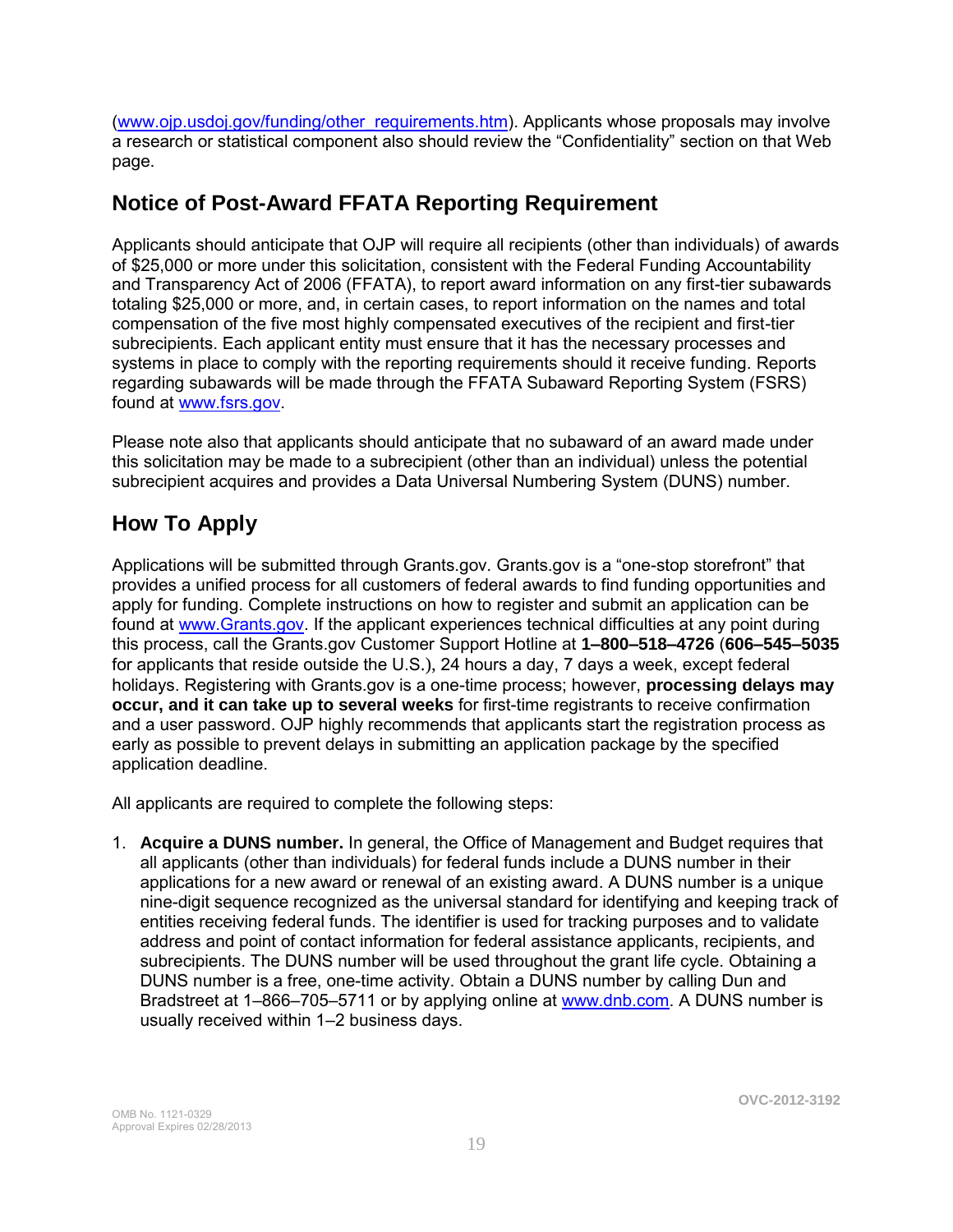[\(www.ojp.usdoj.gov/funding/other\\_requirements.htm\)](http://www.ojp.usdoj.gov/funding/other_requirements.htm). Applicants whose proposals may involve a research or statistical component also should review the "Confidentiality" section on that Web page.

### **Notice of Post-Award FFATA Reporting Requirement**

Applicants should anticipate that OJP will require all recipients (other than individuals) of awards of \$25,000 or more under this solicitation, consistent with the Federal Funding Accountability and Transparency Act of 2006 (FFATA), to report award information on any first-tier subawards totaling \$25,000 or more, and, in certain cases, to report information on the names and total compensation of the five most highly compensated executives of the recipient and first-tier subrecipients. Each applicant entity must ensure that it has the necessary processes and systems in place to comply with the reporting requirements should it receive funding. Reports regarding subawards will be made through the FFATA Subaward Reporting System (FSRS) found at [www.fsrs.gov.](https://www.fsrs.gov/)

Please note also that applicants should anticipate that no subaward of an award made under this solicitation may be made to a subrecipient (other than an individual) unless the potential subrecipient acquires and provides a Data Universal Numbering System (DUNS) number.

### **How To Apply**

Applications will be submitted through Grants.gov. Grants.gov is a "one-stop storefront" that provides a unified process for all customers of federal awards to find funding opportunities and apply for funding. Complete instructions on how to register and submit an application can be found at [www.Grants.gov.](http://www.grants.gov/) If the applicant experiences technical difficulties at any point during this process, call the Grants.gov Customer Support Hotline at **1–800–518–4726** (**606–545–5035**  for applicants that reside outside the U.S.), 24 hours a day, 7 days a week, except federal holidays. Registering with Grants.gov is a one-time process; however, **processing delays may occur, and it can take up to several weeks** for first-time registrants to receive confirmation and a user password. OJP highly recommends that applicants start the registration process as early as possible to prevent delays in submitting an application package by the specified application deadline.

All applicants are required to complete the following steps:

1. **Acquire a DUNS number.** In general, the Office of Management and Budget requires that all applicants (other than individuals) for federal funds include a DUNS number in their applications for a new award or renewal of an existing award. A DUNS number is a unique nine-digit sequence recognized as the universal standard for identifying and keeping track of entities receiving federal funds. The identifier is used for tracking purposes and to validate address and point of contact information for federal assistance applicants, recipients, and subrecipients. The DUNS number will be used throughout the grant life cycle. Obtaining a DUNS number is a free, one-time activity. Obtain a DUNS number by calling Dun and Bradstreet at 1-866-705-5711 or by applying online at [www.dnb.com.](http://www.dnb.com/) A DUNS number is usually received within 1–2 business days.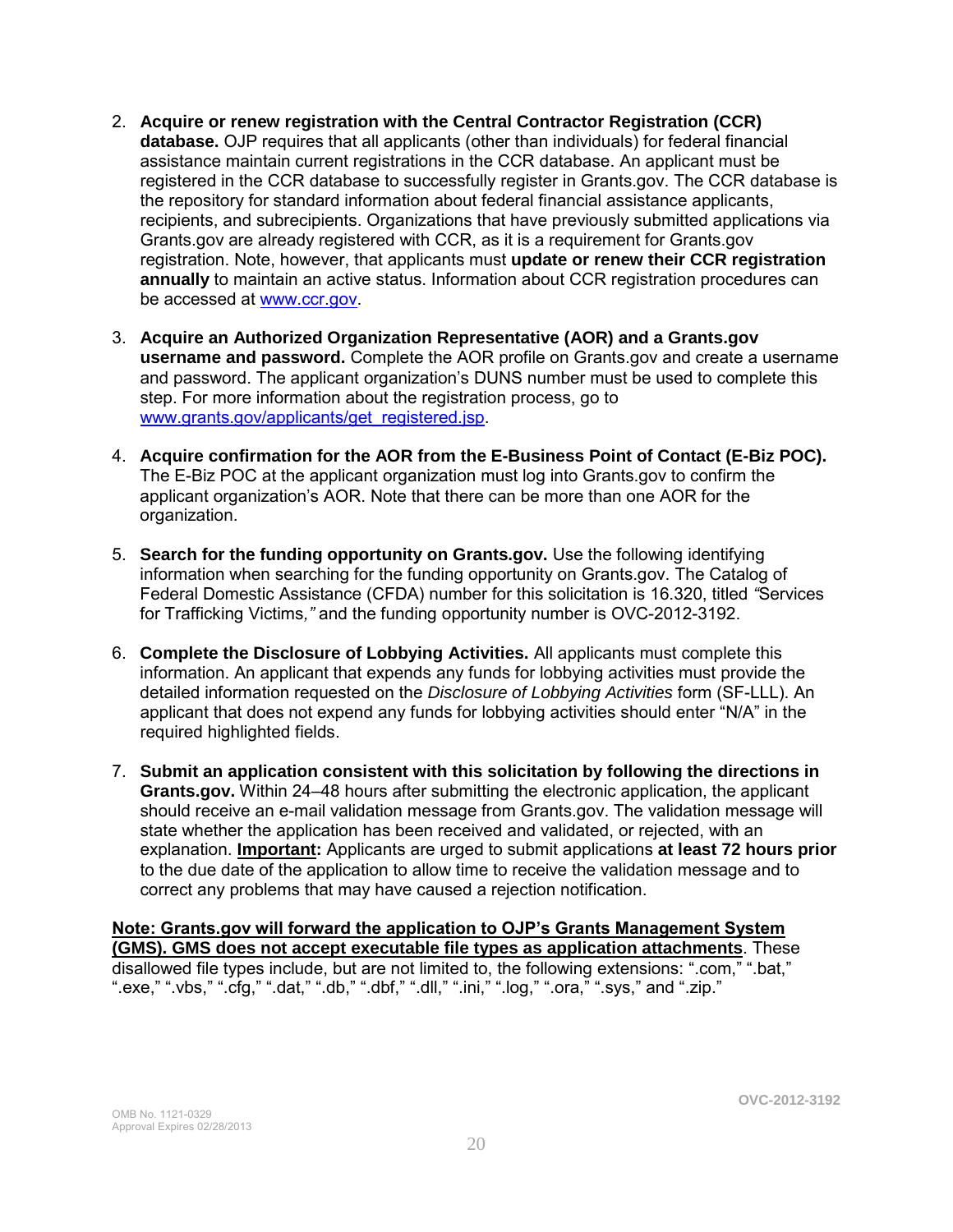- 2. **Acquire or renew registration with the Central Contractor Registration (CCR) database.** OJP requires that all applicants (other than individuals) for federal financial assistance maintain current registrations in the CCR database. An applicant must be registered in the CCR database to successfully register in Grants.gov. The CCR database is the repository for standard information about federal financial assistance applicants, recipients, and subrecipients. Organizations that have previously submitted applications via Grants.gov are already registered with CCR, as it is a requirement for Grants.gov registration. Note, however, that applicants must **update or renew their CCR registration annually** to maintain an active status. Information about CCR registration procedures can be accessed at [www.ccr.gov.](http://www.ccr.gov/)
- 3. **Acquire an Authorized Organization Representative (AOR) and a Grants.gov username and password.** Complete the AOR profile on Grants.gov and create a username and password. The applicant organization's DUNS number must be used to complete this step. For more information about the registration process, go to [www.grants.gov/applicants/get\\_registered.jsp.](http://www.grants.gov/applicants/get_registered.jsp)
- 4. **Acquire confirmation for the AOR from the E-Business Point of Contact (E-Biz POC).**  The E-Biz POC at the applicant organization must log into Grants.gov to confirm the applicant organization's AOR. Note that there can be more than one AOR for the organization.
- 5. **Search for the funding opportunity on Grants.gov.** Use the following identifying information when searching for the funding opportunity on Grants.gov. The Catalog of Federal Domestic Assistance (CFDA) number for this solicitation is 16.320, titled *"*Services for Trafficking Victims*,"* and the funding opportunity number is OVC-2012-3192.
- 6. **Complete the Disclosure of Lobbying Activities.** All applicants must complete this information. An applicant that expends any funds for lobbying activities must provide the detailed information requested on the *Disclosure of Lobbying Activities* form (SF-LLL). An applicant that does not expend any funds for lobbying activities should enter "N/A" in the required highlighted fields.
- 7. **Submit an application consistent with this solicitation by following the directions in Grants.gov.** Within 24–48 hours after submitting the electronic application, the applicant should receive an e-mail validation message from Grants.gov. The validation message will state whether the application has been received and validated, or rejected, with an explanation. **Important:** Applicants are urged to submit applications **at least 72 hours prior** to the due date of the application to allow time to receive the validation message and to correct any problems that may have caused a rejection notification.

**Note: Grants.gov will forward the application to OJP's Grants Management System (GMS). GMS does not accept executable file types as application attachments**. These disallowed file types include, but are not limited to, the following extensions: ".com," ".bat," ".exe," ".vbs," ".cfg," ".dat," ".db," ".dbf," ".dll," ".ini," ".log," ".ora," ".sys," and ".zip."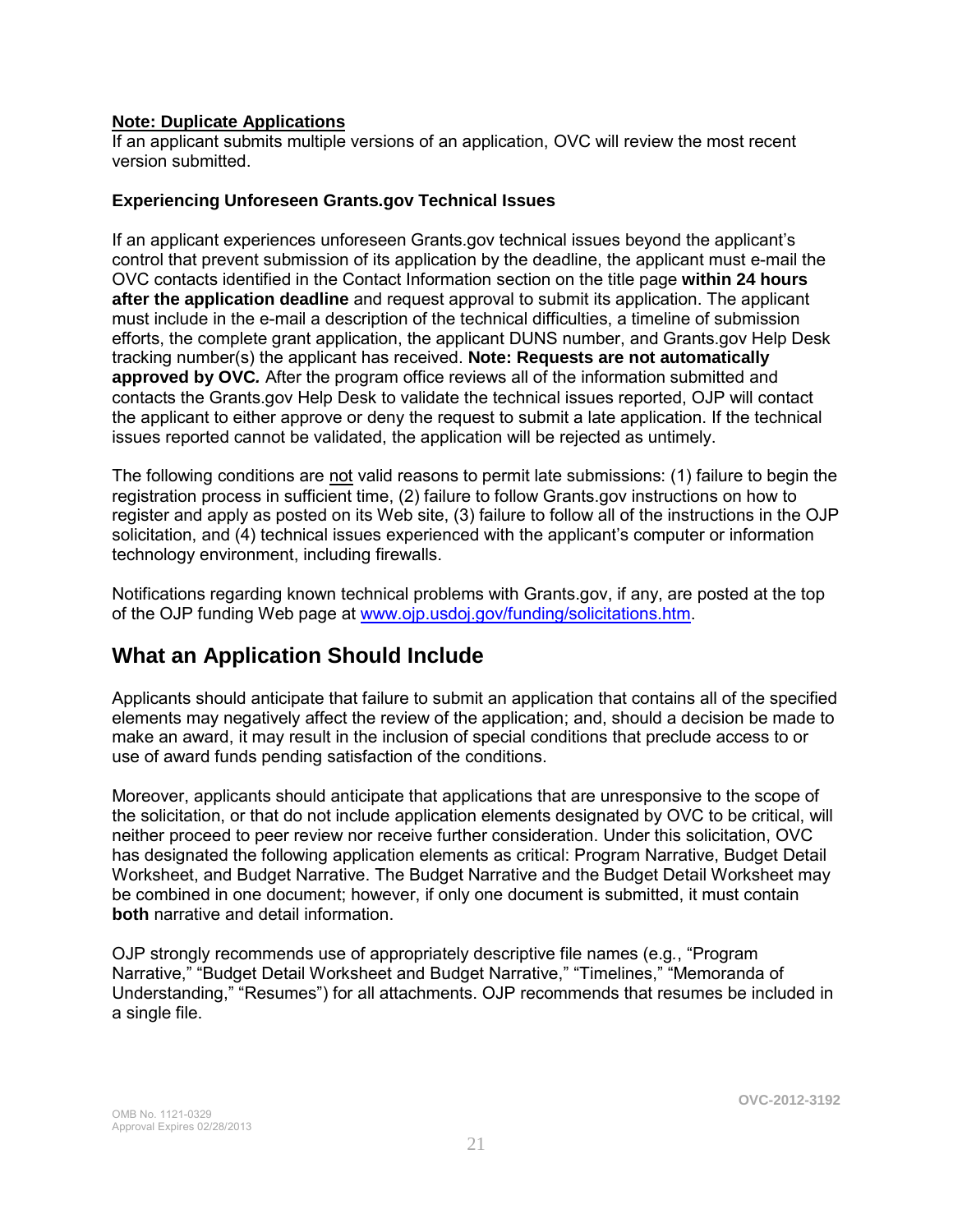### **Note: Duplicate Applications**

If an applicant submits multiple versions of an application, OVC will review the most recent version submitted.

#### **Experiencing Unforeseen Grants.gov Technical Issues**

If an applicant experiences unforeseen Grants.gov technical issues beyond the applicant's control that prevent submission of its application by the deadline, the applicant must e-mail the OVC contacts identified in the Contact Information section on the title page **within 24 hours after the application deadline** and request approval to submit its application. The applicant must include in the e-mail a description of the technical difficulties, a timeline of submission efforts, the complete grant application, the applicant DUNS number, and Grants.gov Help Desk tracking number(s) the applicant has received. **Note: Requests are not automatically approved by OVC***.* After the program office reviews all of the information submitted and contacts the Grants.gov Help Desk to validate the technical issues reported, OJP will contact the applicant to either approve or deny the request to submit a late application. If the technical issues reported cannot be validated, the application will be rejected as untimely.

The following conditions are not valid reasons to permit late submissions: (1) failure to begin the registration process in sufficient time, (2) failure to follow Grants.gov instructions on how to register and apply as posted on its Web site, (3) failure to follow all of the instructions in the OJP solicitation, and (4) technical issues experienced with the applicant's computer or information technology environment, including firewalls.

Notifications regarding known technical problems with Grants.gov, if any, are posted at the top of the OJP funding Web page at [www.ojp.usdoj.gov/funding/solicitations.htm.](http://www.ojp.gov/funding/solicitations.htm)

### **What an Application Should Include**

Applicants should anticipate that failure to submit an application that contains all of the specified elements may negatively affect the review of the application; and, should a decision be made to make an award, it may result in the inclusion of special conditions that preclude access to or use of award funds pending satisfaction of the conditions.

Moreover, applicants should anticipate that applications that are unresponsive to the scope of the solicitation, or that do not include application elements designated by OVC to be critical, will neither proceed to peer review nor receive further consideration. Under this solicitation, OVC has designated the following application elements as critical: Program Narrative, Budget Detail Worksheet, and Budget Narrative. The Budget Narrative and the Budget Detail Worksheet may be combined in one document; however, if only one document is submitted, it must contain **both** narrative and detail information.

OJP strongly recommends use of appropriately descriptive file names (e.g*.*, "Program Narrative," "Budget Detail Worksheet and Budget Narrative," "Timelines," "Memoranda of Understanding," "Resumes") for all attachments. OJP recommends that resumes be included in a single file.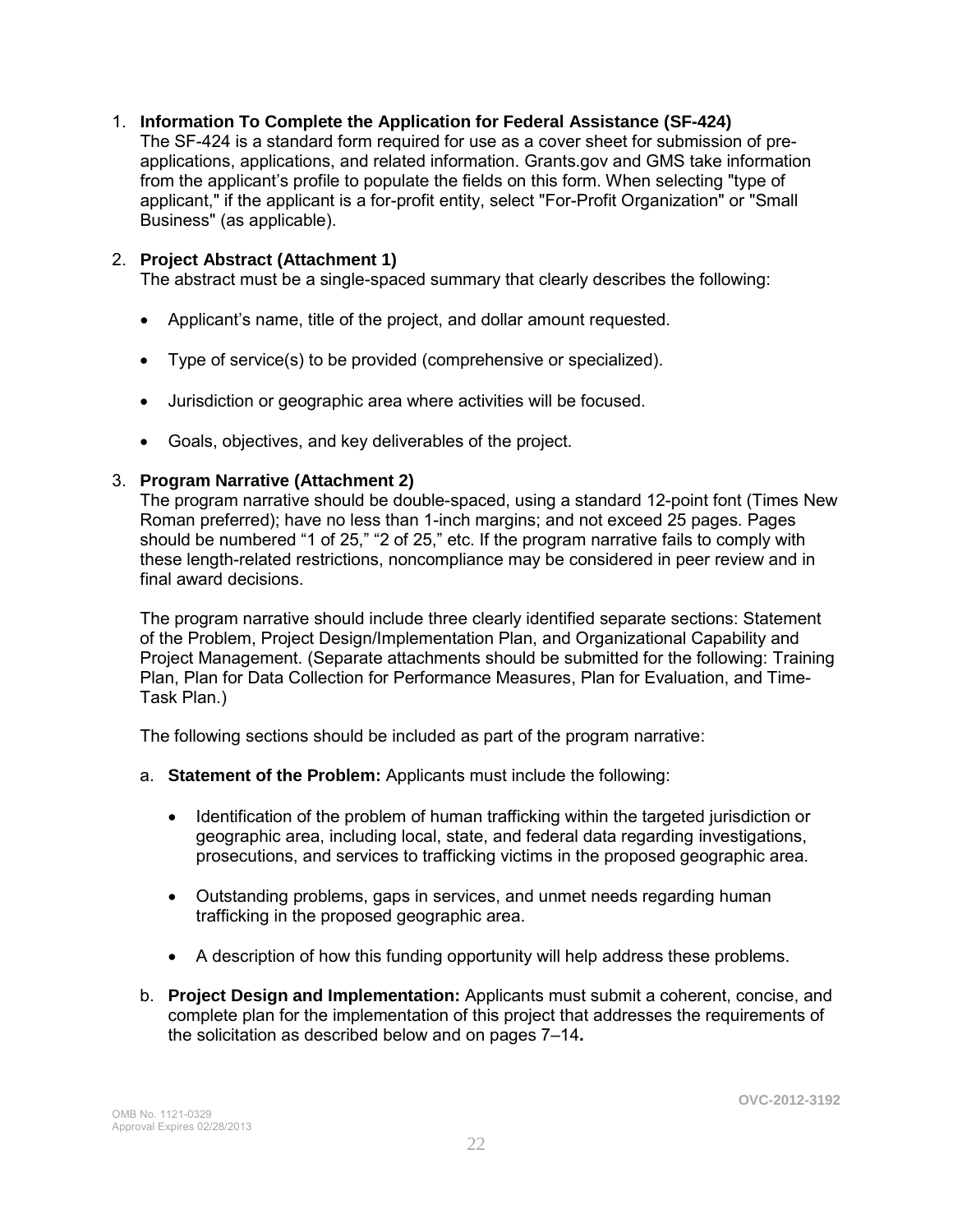### 1. **Information To Complete the Application for Federal Assistance (SF-424)**

The SF-424 is a standard form required for use as a cover sheet for submission of preapplications, applications, and related information. Grants.gov and GMS take information from the applicant's profile to populate the fields on this form. When selecting "type of applicant," if the applicant is a for-profit entity, select "For-Profit Organization" or "Small Business" (as applicable).

### 2. **Project Abstract (Attachment 1)**

The abstract must be a single-spaced summary that clearly describes the following:

- Applicant's name, title of the project, and dollar amount requested.
- Type of service(s) to be provided (comprehensive or specialized).
- Jurisdiction or geographic area where activities will be focused.
- Goals, objectives, and key deliverables of the project.

### 3. **Program Narrative (Attachment 2)**

The program narrative should be double-spaced, using a standard 12-point font (Times New Roman preferred); have no less than 1-inch margins; and not exceed 25 pages. Pages should be numbered "1 of 25," "2 of 25," etc. If the program narrative fails to comply with these length-related restrictions, noncompliance may be considered in peer review and in final award decisions.

The program narrative should include three clearly identified separate sections: Statement of the Problem, Project Design/Implementation Plan, and Organizational Capability and Project Management. (Separate attachments should be submitted for the following: Training Plan, Plan for Data Collection for Performance Measures, Plan for Evaluation, and Time-Task Plan.)

The following sections should be included as part of the program narrative:

- a. **Statement of the Problem:** Applicants must include the following:
	- Identification of the problem of human trafficking within the targeted jurisdiction or geographic area, including local, state, and federal data regarding investigations, prosecutions, and services to trafficking victims in the proposed geographic area.
	- Outstanding problems, gaps in services, and unmet needs regarding human trafficking in the proposed geographic area.
	- A description of how this funding opportunity will help address these problems.
- b. **Project Design and Implementation:** Applicants must submit a coherent, concise, and complete plan for the implementation of this project that addresses the requirements of the solicitation as described below and on pages 7–14**.**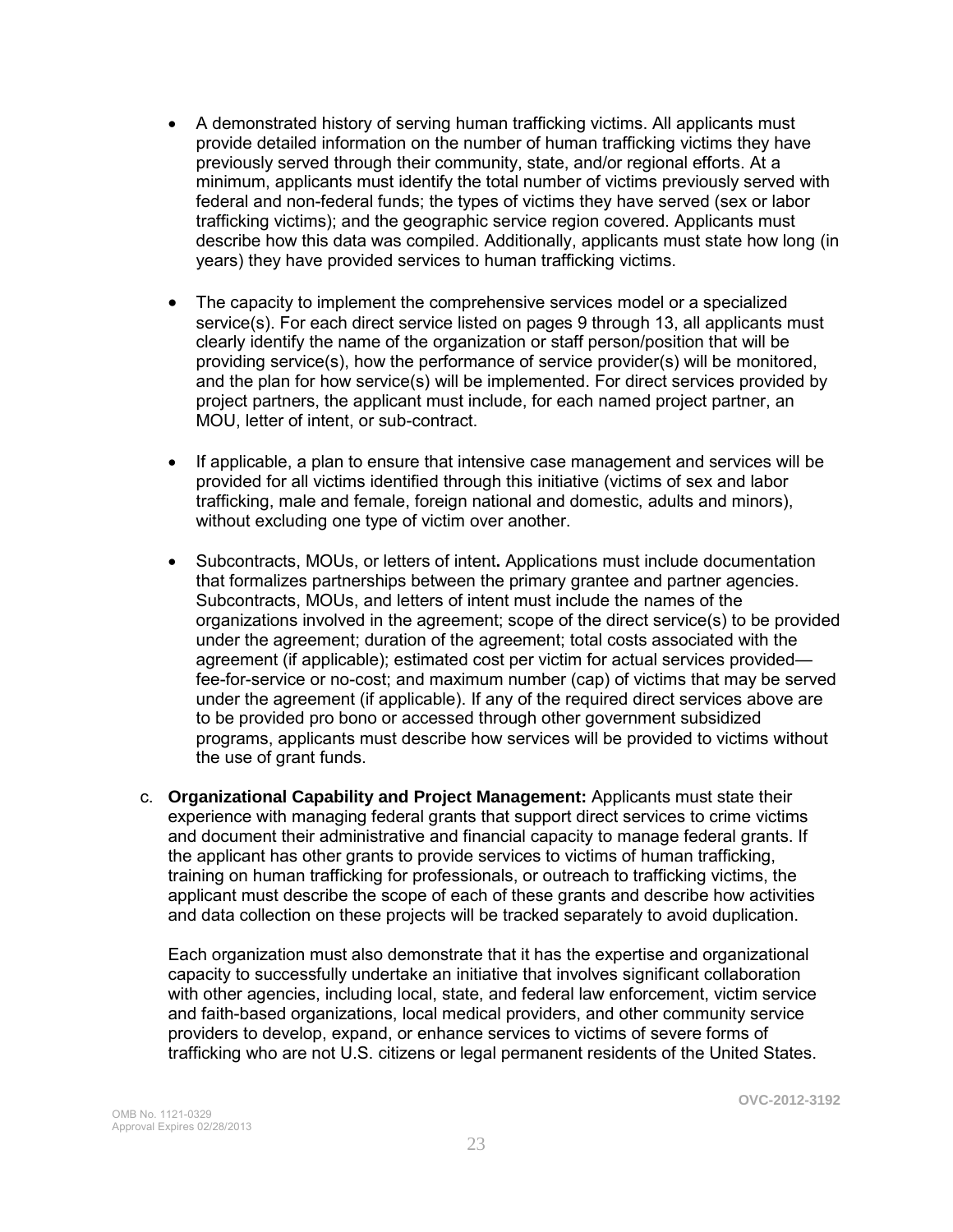- A demonstrated history of serving human trafficking victims. All applicants must provide detailed information on the number of human trafficking victims they have previously served through their community, state, and/or regional efforts. At a minimum, applicants must identify the total number of victims previously served with federal and non-federal funds; the types of victims they have served (sex or labor trafficking victims); and the geographic service region covered. Applicants must describe how this data was compiled. Additionally, applicants must state how long (in years) they have provided services to human trafficking victims.
- The capacity to implement the comprehensive services model or a specialized service(s). For each direct service listed on pages 9 through 13, all applicants must clearly identify the name of the organization or staff person/position that will be providing service(s), how the performance of service provider(s) will be monitored, and the plan for how service(s) will be implemented. For direct services provided by project partners, the applicant must include, for each named project partner, an MOU, letter of intent, or sub-contract.
- If applicable, a plan to ensure that intensive case management and services will be provided for all victims identified through this initiative (victims of sex and labor trafficking, male and female, foreign national and domestic, adults and minors), without excluding one type of victim over another.
- Subcontracts, MOUs, or letters of intent**.** Applications must include documentation that formalizes partnerships between the primary grantee and partner agencies. Subcontracts, MOUs, and letters of intent must include the names of the organizations involved in the agreement; scope of the direct service(s) to be provided under the agreement; duration of the agreement; total costs associated with the agreement (if applicable); estimated cost per victim for actual services provided fee-for-service or no-cost; and maximum number (cap) of victims that may be served under the agreement (if applicable). If any of the required direct services above are to be provided pro bono or accessed through other government subsidized programs, applicants must describe how services will be provided to victims without the use of grant funds.
- c. **Organizational Capability and Project Management:** Applicants must state their experience with managing federal grants that support direct services to crime victims and document their administrative and financial capacity to manage federal grants. If the applicant has other grants to provide services to victims of human trafficking, training on human trafficking for professionals, or outreach to trafficking victims, the applicant must describe the scope of each of these grants and describe how activities and data collection on these projects will be tracked separately to avoid duplication.

Each organization must also demonstrate that it has the expertise and organizational capacity to successfully undertake an initiative that involves significant collaboration with other agencies, including local, state, and federal law enforcement, victim service and faith-based organizations, local medical providers, and other community service providers to develop, expand, or enhance services to victims of severe forms of trafficking who are not U.S. citizens or legal permanent residents of the United States.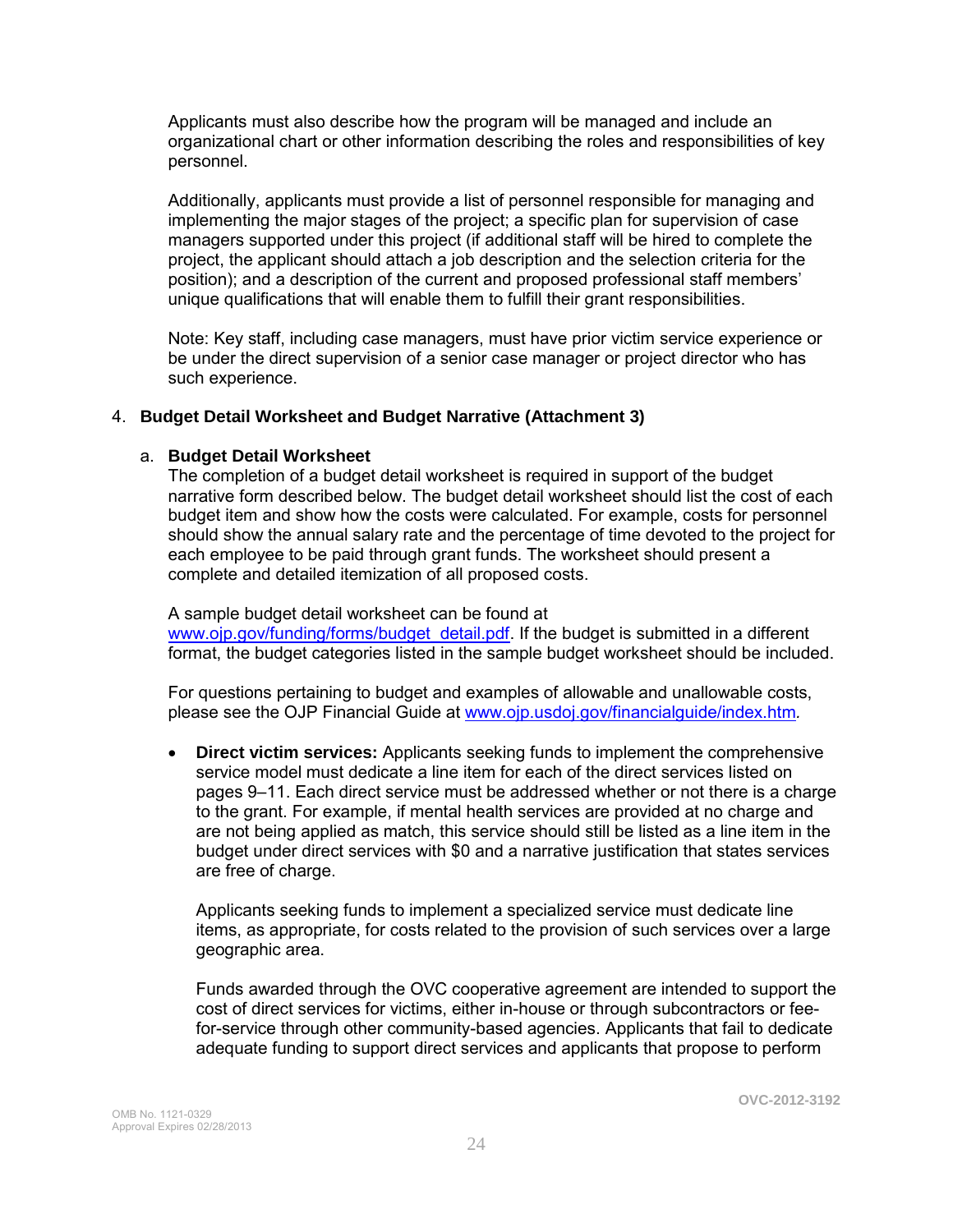Applicants must also describe how the program will be managed and include an organizational chart or other information describing the roles and responsibilities of key personnel.

Additionally, applicants must provide a list of personnel responsible for managing and implementing the major stages of the project; a specific plan for supervision of case managers supported under this project (if additional staff will be hired to complete the project, the applicant should attach a job description and the selection criteria for the position); and a description of the current and proposed professional staff members' unique qualifications that will enable them to fulfill their grant responsibilities.

Note: Key staff, including case managers, must have prior victim service experience or be under the direct supervision of a senior case manager or project director who has such experience.

### 4. **Budget Detail Worksheet and Budget Narrative (Attachment 3)**

### a. **Budget Detail Worksheet**

The completion of a budget detail worksheet is required in support of the budget narrative form described below. The budget detail worksheet should list the cost of each budget item and show how the costs were calculated. For example, costs for personnel should show the annual salary rate and the percentage of time devoted to the project for each employee to be paid through grant funds. The worksheet should present a complete and detailed itemization of all proposed costs.

 A sample budget detail worksheet can be found at [www.ojp.gov/funding/forms/budget\\_detail.pdf.](http://www.ojp.gov/funding/forms/budget_detail.pdf) If the budget is submitted in a different format, the budget categories listed in the sample budget worksheet should be included.

 For questions pertaining to budget and examples of allowable and unallowable costs, please see the OJP Financial Guide at [www.ojp.usdoj.gov/financialguide/index.htm](http://www.ojp.usdoj.gov/financialguide/index.htm)*.*

 **Direct victim services:** Applicants seeking funds to implement the comprehensive service model must dedicate a line item for each of the direct services listed on pages 9–11. Each direct service must be addressed whether or not there is a charge to the grant. For example, if mental health services are provided at no charge and are not being applied as match, this service should still be listed as a line item in the budget under direct services with \$0 and a narrative justification that states services are free of charge.

Applicants seeking funds to implement a specialized service must dedicate line items, as appropriate, for costs related to the provision of such services over a large geographic area.

Funds awarded through the OVC cooperative agreement are intended to support the cost of direct services for victims, either in-house or through subcontractors or feefor-service through other community-based agencies. Applicants that fail to dedicate adequate funding to support direct services and applicants that propose to perform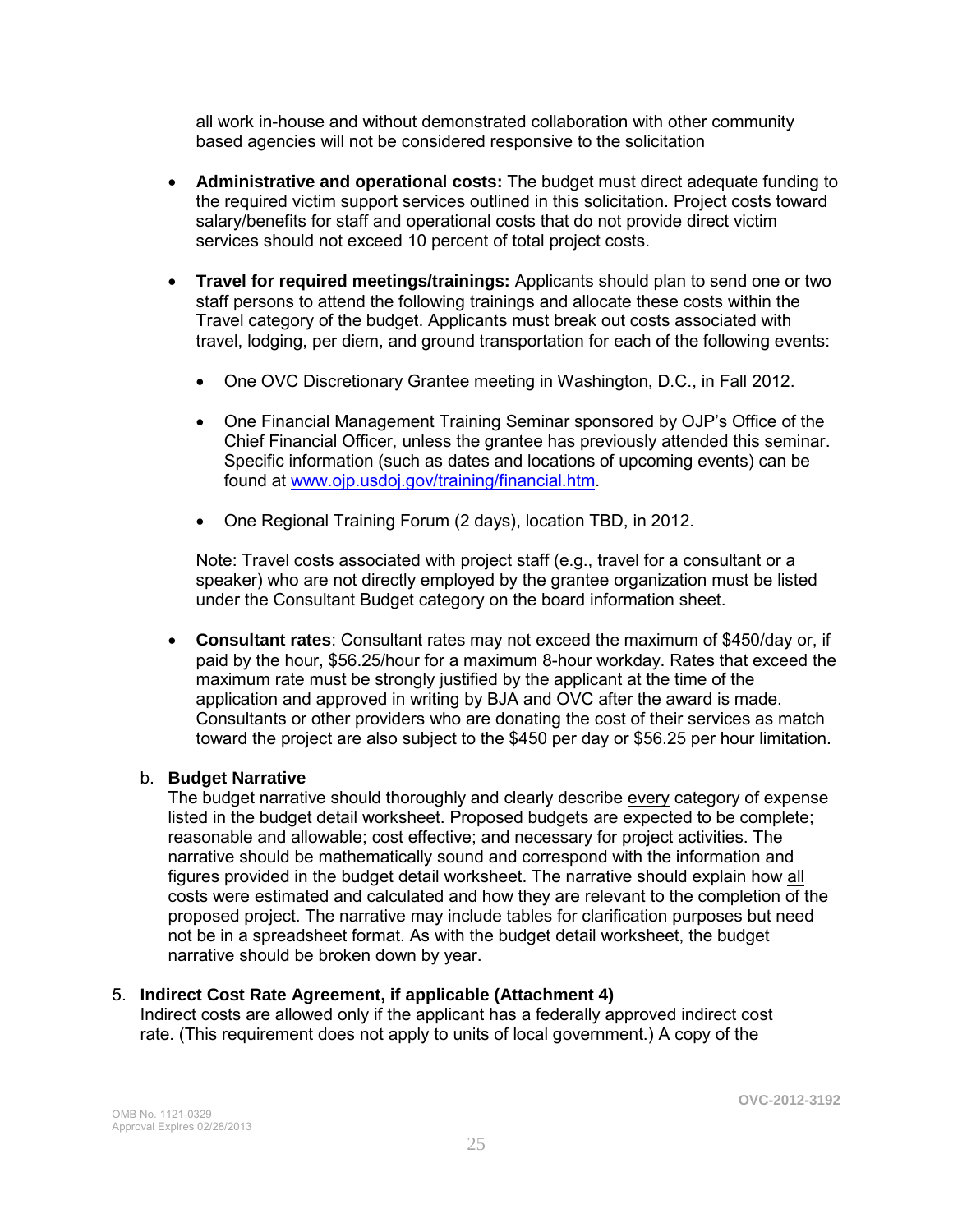all work in-house and without demonstrated collaboration with other community based agencies will not be considered responsive to the solicitation

- **Administrative and operational costs:** The budget must direct adequate funding to the required victim support services outlined in this solicitation. Project costs toward salary/benefits for staff and operational costs that do not provide direct victim services should not exceed 10 percent of total project costs.
- **Travel for required meetings/trainings:** Applicants should plan to send one or two staff persons to attend the following trainings and allocate these costs within the Travel category of the budget. Applicants must break out costs associated with travel, lodging, per diem, and ground transportation for each of the following events:
	- One OVC Discretionary Grantee meeting in Washington, D.C., in Fall 2012.
	- One Financial Management Training Seminar sponsored by OJP's Office of the Chief Financial Officer, unless the grantee has previously attended this seminar. Specific information (such as dates and locations of upcoming events) can be found at [www.ojp.usdoj.gov/training/financial.htm.](http://www.ojp.usdoj.gov/training/financial.htm)
	- One Regional Training Forum (2 days), location TBD, in 2012.

Note: Travel costs associated with project staff (e.g., travel for a consultant or a speaker) who are not directly employed by the grantee organization must be listed under the Consultant Budget category on the board information sheet.

 **Consultant rates**: Consultant rates may not exceed the maximum of \$450/day or, if paid by the hour, \$56.25/hour for a maximum 8-hour workday. Rates that exceed the maximum rate must be strongly justified by the applicant at the time of the application and approved in writing by BJA and OVC after the award is made. Consultants or other providers who are donating the cost of their services as match toward the project are also subject to the \$450 per day or \$56.25 per hour limitation.

### b. **Budget Narrative**

The budget narrative should thoroughly and clearly describe every category of expense listed in the budget detail worksheet. Proposed budgets are expected to be complete; reasonable and allowable; cost effective; and necessary for project activities. The narrative should be mathematically sound and correspond with the information and figures provided in the budget detail worksheet. The narrative should explain how all costs were estimated and calculated and how they are relevant to the completion of the proposed project. The narrative may include tables for clarification purposes but need not be in a spreadsheet format. As with the budget detail worksheet, the budget narrative should be broken down by year.

### 5. **Indirect Cost Rate Agreement, if applicable (Attachment 4)**

Indirect costs are allowed only if the applicant has a federally approved indirect cost rate. (This requirement does not apply to units of local government.) A copy of the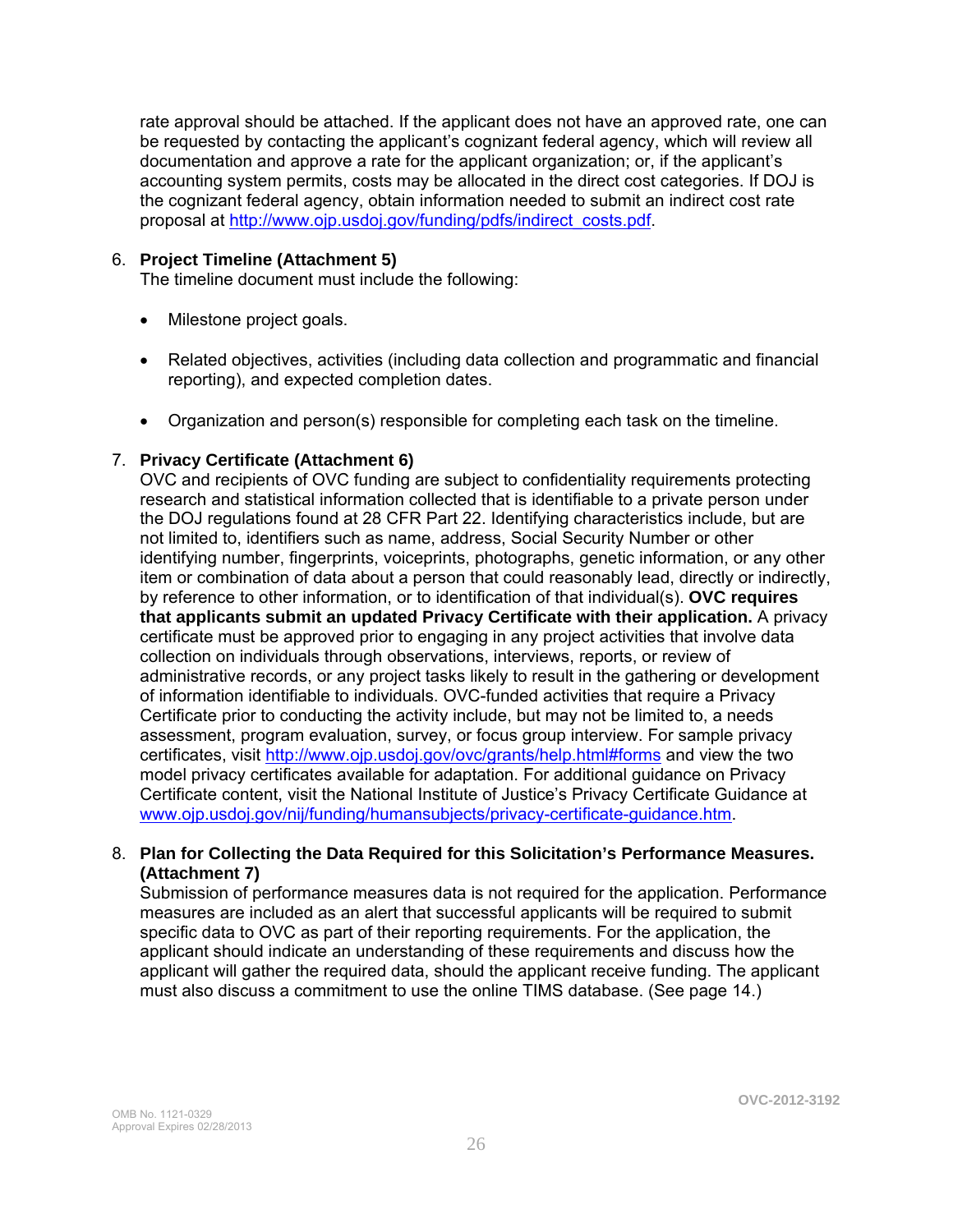rate approval should be attached. If the applicant does not have an approved rate, one can be requested by contacting the applicant's cognizant federal agency, which will review all documentation and approve a rate for the applicant organization; or, if the applicant's accounting system permits, costs may be allocated in the direct cost categories. If DOJ is the cognizant federal agency, obtain information needed to submit an indirect cost rate proposal at [http://www.ojp.usdoj.gov/funding/pdfs/indirect\\_costs.pdf](http://www.ojp.usdoj.gov/funding/pdfs/indirect_costs.pdf).

### 6. **Project Timeline (Attachment 5)**

The timeline document must include the following:

- Milestone project goals.
- Related objectives, activities (including data collection and programmatic and financial reporting), and expected completion dates.
- Organization and person(s) responsible for completing each task on the timeline.

### 7. **Privacy Certificate (Attachment 6)**

OVC and recipients of OVC funding are subject to confidentiality requirements protecting research and statistical information collected that is identifiable to a private person under the DOJ regulations found at 28 CFR Part 22. Identifying characteristics include, but are not limited to, identifiers such as name, address, Social Security Number or other identifying number, fingerprints, voiceprints, photographs, genetic information, or any other item or combination of data about a person that could reasonably lead, directly or indirectly, by reference to other information, or to identification of that individual(s). **OVC requires that applicants submit an updated Privacy Certificate with their application.** A privacy certificate must be approved prior to engaging in any project activities that involve data collection on individuals through observations, interviews, reports, or review of administrative records, or any project tasks likely to result in the gathering or development of information identifiable to individuals. OVC-funded activities that require a Privacy Certificate prior to conducting the activity include, but may not be limited to, a needs assessment, program evaluation, survey, or focus group interview. For sample privacy certificates, visit <http://www.ojp.usdoj.gov/ovc/grants/help.html#forms>and view the two model privacy certificates available for adaptation. For additional guidance on Privacy Certificate content, visit the National Institute of Justice's Privacy Certificate Guidance at [www.ojp.usdoj.gov/nij/funding/humansubjects/privacy-certificate-guidance.htm](http://www.ojp.usdoj.gov/nij/funding/humansubjects/privacy-certificate-guidance.htm).

### 8. **Plan for Collecting the Data Required for this Solicitation's Performance Measures. (Attachment 7)**

Submission of performance measures data is not required for the application. Performance measures are included as an alert that successful applicants will be required to submit specific data to OVC as part of their reporting requirements. For the application, the applicant should indicate an understanding of these requirements and discuss how the applicant will gather the required data, should the applicant receive funding. The applicant must also discuss a commitment to use the online TIMS database. (See page 14.)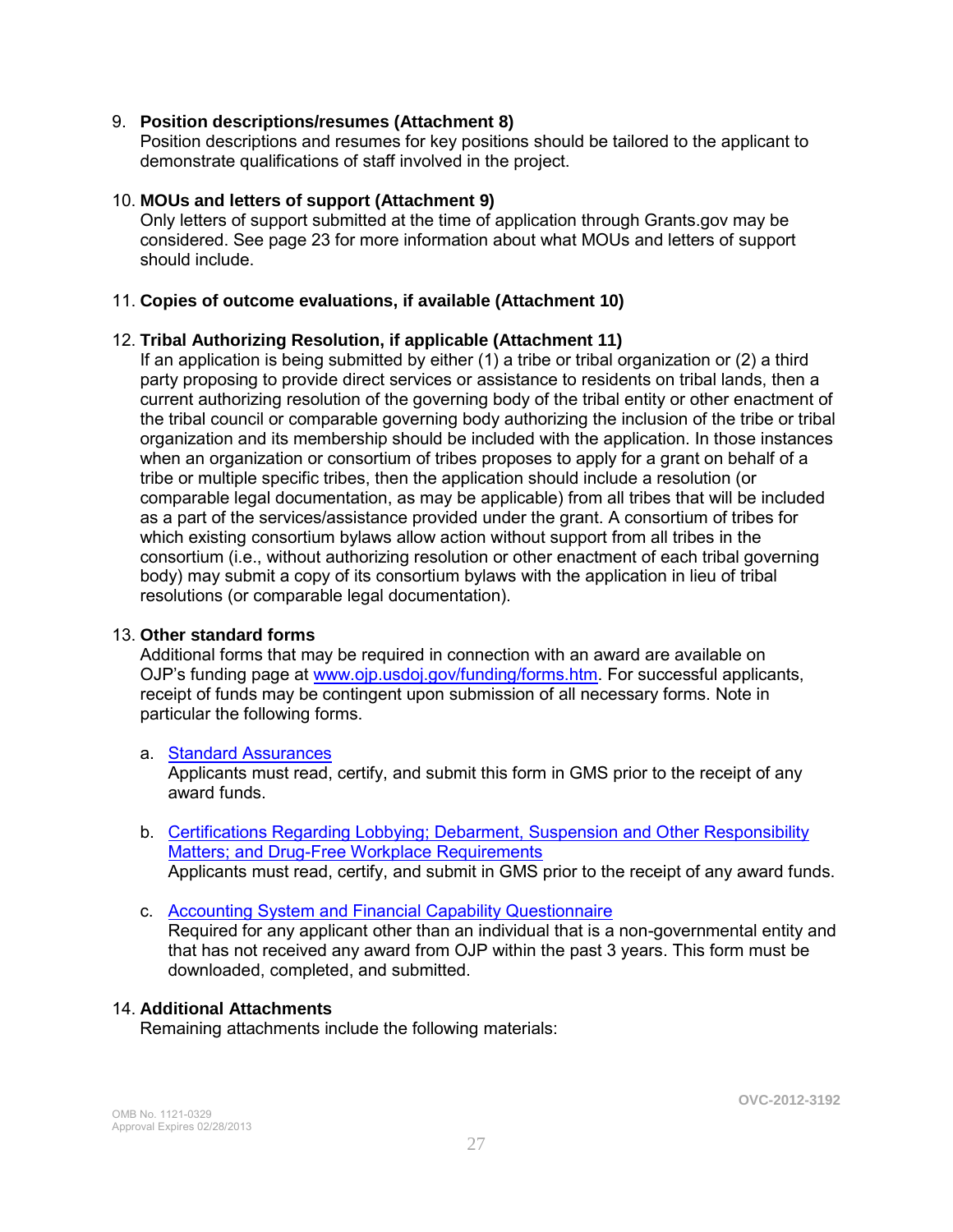### 9. **Position descriptions/resumes (Attachment 8)**

Position descriptions and resumes for key positions should be tailored to the applicant to demonstrate qualifications of staff involved in the project.

#### 10. **MOUs and letters of support (Attachment 9)**

Only letters of support submitted at the time of application through Grants.gov may be considered. See page 23 for more information about what MOUs and letters of support should include.

### 11. **Copies of outcome evaluations, if available (Attachment 10)**

### 12. **Tribal Authorizing Resolution, if applicable (Attachment 11)**

If an application is being submitted by either (1) a tribe or tribal organization or (2) a third party proposing to provide direct services or assistance to residents on tribal lands, then a current authorizing resolution of the governing body of the tribal entity or other enactment of the tribal council or comparable governing body authorizing the inclusion of the tribe or tribal organization and its membership should be included with the application. In those instances when an organization or consortium of tribes proposes to apply for a grant on behalf of a tribe or multiple specific tribes, then the application should include a resolution (or comparable legal documentation, as may be applicable) from all tribes that will be included as a part of the services/assistance provided under the grant. A consortium of tribes for which existing consortium bylaws allow action without support from all tribes in the consortium (i.e., without authorizing resolution or other enactment of each tribal governing body) may submit a copy of its consortium bylaws with the application in lieu of tribal resolutions (or comparable legal documentation).

#### 13. **Other standard forms**

Additional forms that may be required in connection with an award are available on OJP's funding page at [www.ojp.usdoj.gov/funding/forms.htm.](http://www.ojp.usdoj.gov/funding/forms.htm) For successful applicants, receipt of funds may be contingent upon submission of all necessary forms. Note in particular the following forms.

#### a. [Standard Assurances](http://www.ojp.usdoj.gov/funding/forms/std_assurances.pdf)

Applicants must read, certify, and submit this form in GMS prior to the receipt of any award funds.

b. [Certifications Regarding Lobbying; Debarment, Suspension and Other Responsibility](http://www.ojp.usdoj.gov/funding/forms/certifications.pdf)  [Matters; and Drug-Free Workplace Requirements](http://www.ojp.usdoj.gov/funding/forms/certifications.pdf) Applicants must read, certify, and submit in GMS prior to the receipt of any award funds.

c. [Accounting System and Financial Capability Questionnaire](http://www.ojp.usdoj.gov/funding/forms/financial_capability.pdf)  Required for any applicant other than an individual that is a non-governmental entity and that has not received any award from OJP within the past 3 years. This form must be downloaded, completed, and submitted.

#### 14. **Additional Attachments**

Remaining attachments include the following materials: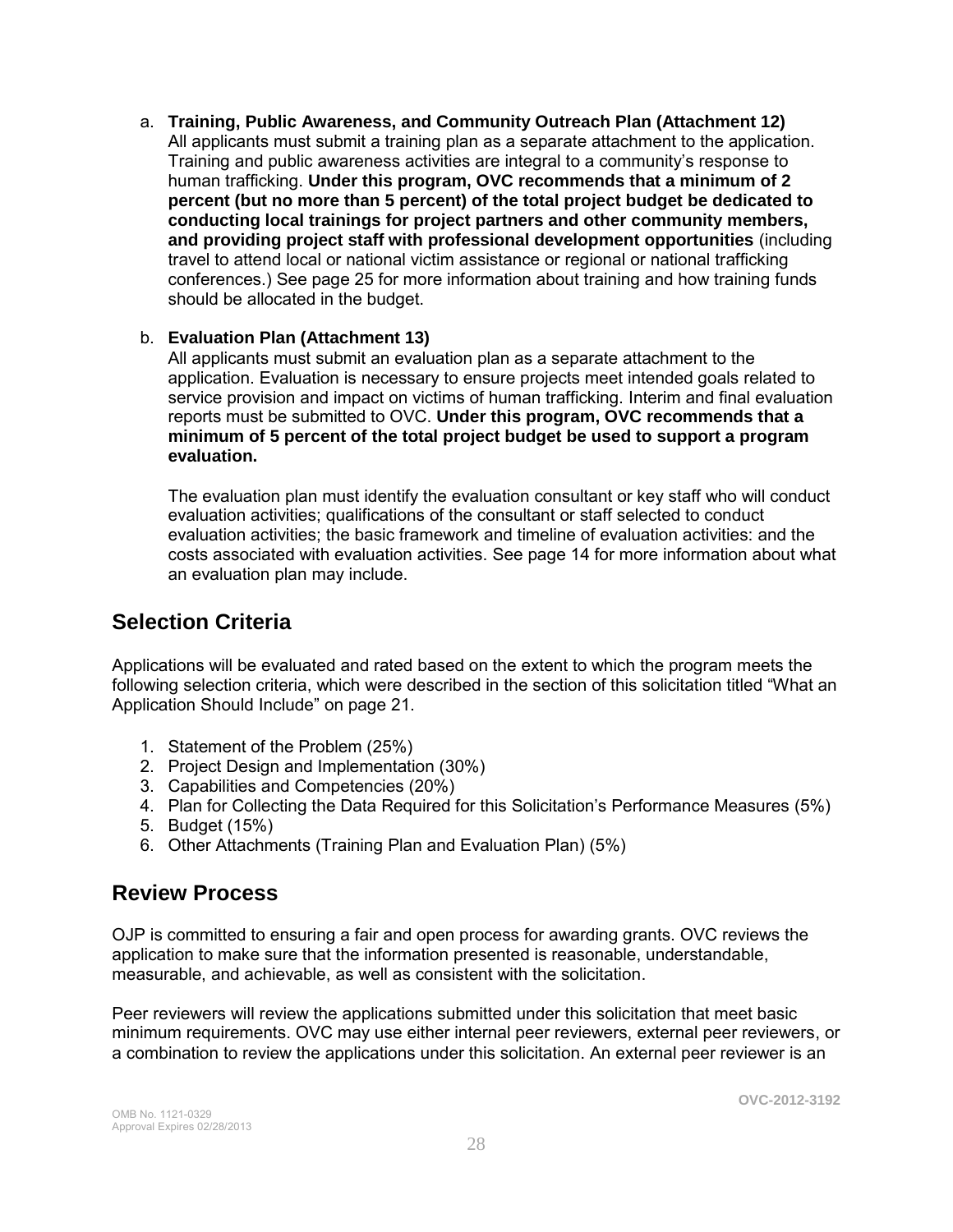a. **Training, Public Awareness, and Community Outreach Plan (Attachment 12)**  All applicants must submit a training plan as a separate attachment to the application. Training and public awareness activities are integral to a community's response to human trafficking. **Under this program, OVC recommends that a minimum of 2 percent (but no more than 5 percent) of the total project budget be dedicated to conducting local trainings for project partners and other community members, and providing project staff with professional development opportunities** (including travel to attend local or national victim assistance or regional or national trafficking conferences.) See page 25 for more information about training and how training funds should be allocated in the budget.

### b. **Evaluation Plan (Attachment 13)**

All applicants must submit an evaluation plan as a separate attachment to the application. Evaluation is necessary to ensure projects meet intended goals related to service provision and impact on victims of human trafficking. Interim and final evaluation reports must be submitted to OVC. **Under this program, OVC recommends that a minimum of 5 percent of the total project budget be used to support a program evaluation.** 

The evaluation plan must identify the evaluation consultant or key staff who will conduct evaluation activities; qualifications of the consultant or staff selected to conduct evaluation activities; the basic framework and timeline of evaluation activities: and the costs associated with evaluation activities. See page 14 for more information about what an evaluation plan may include.

### **Selection Criteria**

Applications will be evaluated and rated based on the extent to which the program meets the following selection criteria, which were described in the section of this solicitation titled "What an Application Should Include" on page 21.

- 1. Statement of the Problem (25%)
- 2. Project Design and Implementation (30%)
- 3. Capabilities and Competencies (20%)
- 4. Plan for Collecting the Data Required for this Solicitation's Performance Measures (5%)
- 5. Budget (15%)
- 6. Other Attachments (Training Plan and Evaluation Plan) (5%)

### **Review Process**

OJP is committed to ensuring a fair and open process for awarding grants. OVC reviews the application to make sure that the information presented is reasonable, understandable, measurable, and achievable, as well as consistent with the solicitation.

Peer reviewers will review the applications submitted under this solicitation that meet basic minimum requirements. OVC may use either internal peer reviewers, external peer reviewers, or a combination to review the applications under this solicitation. An external peer reviewer is an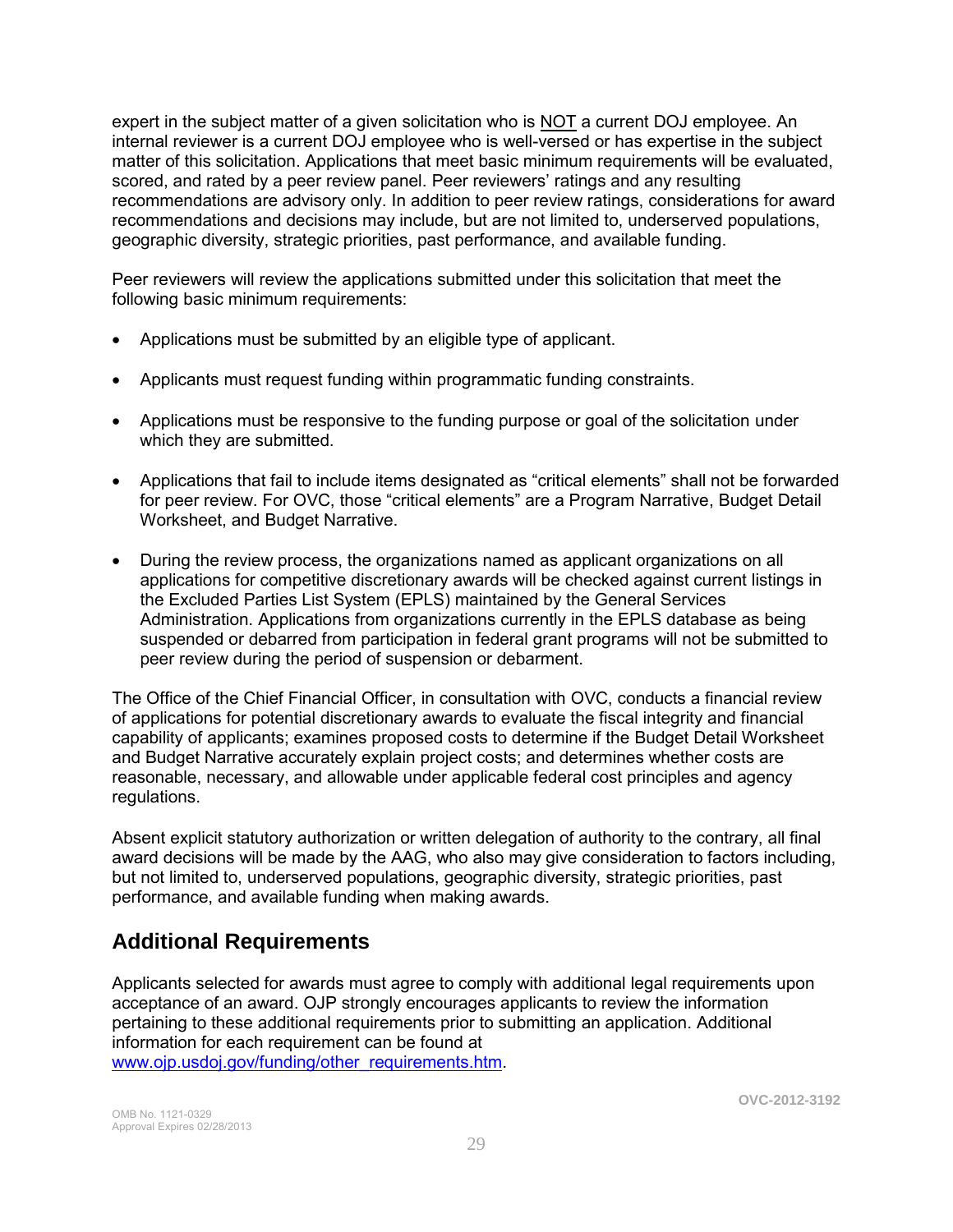expert in the subject matter of a given solicitation who is NOT a current DOJ employee. An internal reviewer is a current DOJ employee who is well-versed or has expertise in the subject matter of this solicitation. Applications that meet basic minimum requirements will be evaluated, scored, and rated by a peer review panel. Peer reviewers' ratings and any resulting recommendations are advisory only. In addition to peer review ratings, considerations for award recommendations and decisions may include, but are not limited to, underserved populations, geographic diversity, strategic priorities, past performance, and available funding.

Peer reviewers will review the applications submitted under this solicitation that meet the following basic minimum requirements:

- Applications must be submitted by an eligible type of applicant.
- Applicants must request funding within programmatic funding constraints.  $\bullet$
- Applications must be responsive to the funding purpose or goal of the solicitation under which they are submitted.
- Applications that fail to include items designated as "critical elements" shall not be forwarded for peer review. For OVC, those "critical elements" are a Program Narrative, Budget Detail Worksheet, and Budget Narrative.
- During the review process, the organizations named as applicant organizations on all applications for competitive discretionary awards will be checked against current listings in the Excluded Parties List System (EPLS) maintained by the General Services Administration. Applications from organizations currently in the EPLS database as being suspended or debarred from participation in federal grant programs will not be submitted to peer review during the period of suspension or debarment.

The Office of the Chief Financial Officer, in consultation with OVC, conducts a financial review of applications for potential discretionary awards to evaluate the fiscal integrity and financial capability of applicants; examines proposed costs to determine if the Budget Detail Worksheet and Budget Narrative accurately explain project costs; and determines whether costs are reasonable, necessary, and allowable under applicable federal cost principles and agency regulations.

Absent explicit statutory authorization or written delegation of authority to the contrary, all final award decisions will be made by the AAG, who also may give consideration to factors including, but not limited to, underserved populations, geographic diversity, strategic priorities, past performance, and available funding when making awards.

### **Additional Requirements**

Applicants selected for awards must agree to comply with additional legal requirements upon acceptance of an award. OJP strongly encourages applicants to review the information pertaining to these additional requirements prior to submitting an application. Additional information for each requirement can be found at [www.ojp.usdoj.gov/funding/other\\_requirements.htm.](http://www.ojp.usdoj.gov/funding/other_requirements.htm)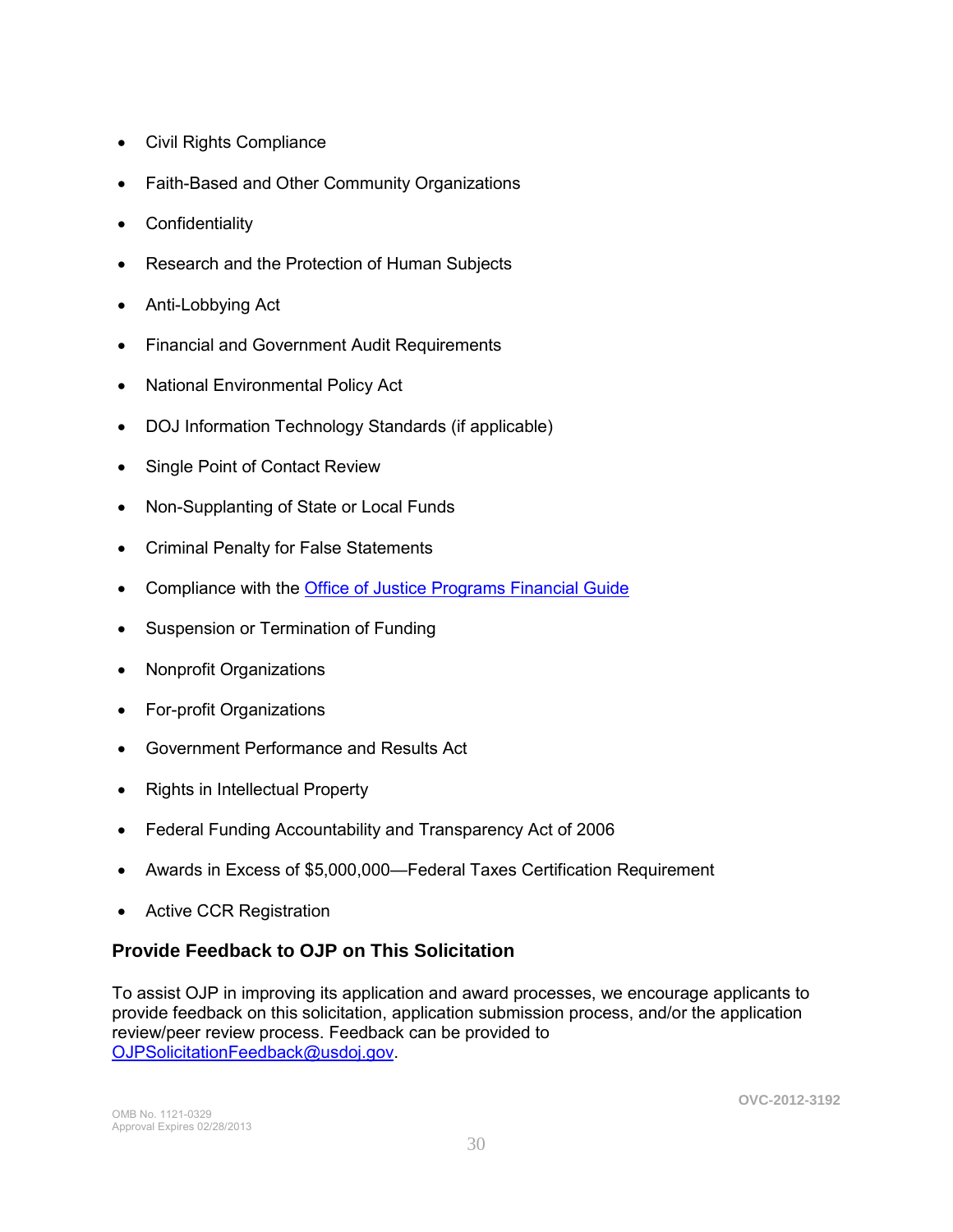- [Civil Rights Compliance](http://www.ojp.usdoj.gov/about/ocr/statutes.htm)
- Faith-Based and Other Community Organizations  $\bullet$
- Confidentiality  $\bullet$
- Research and the Protection of Human Subjects  $\bullet$
- Anti-Lobbying Act  $\bullet$
- Financial and Government Audit Requirements  $\bullet$
- National Environmental Policy Act  $\bullet$
- DOJ Information Technology Standards (if applicable)  $\bullet$
- Single Point of Contact Review  $\bullet$
- Non-Supplanting of State or Local Funds  $\bullet$
- Criminal Penalty for False Statements  $\bullet$
- Compliance with the [Office of Justice Programs Financial Guide](http://www.ojp.usdoj.gov/financialguide/index.htm)  $\bullet$
- Suspension or Termination of Funding  $\bullet$
- Nonprofit Organizations  $\bullet$
- For-profit Organizations  $\bullet$
- Government Performance and Results Act  $\bullet$
- Rights in Intellectual Property  $\bullet$
- Federal Funding Accountability and Transparency Act of 2006  $\bullet$
- Awards in Excess of \$5,000,000—Federal Taxes Certification Requirement  $\bullet$
- Active CCR Registration  $\bullet$

### **Provide Feedback to OJP on This Solicitation**

To assist OJP in improving its application and award processes, we encourage applicants to provide feedback on this solicitation, application submission process, and/or the application review/peer review process. Feedback can be provided to [OJPSolicitationFeedback@usdoj.gov.](mailto:OJPSolicitationFeedback@usdoj.gov)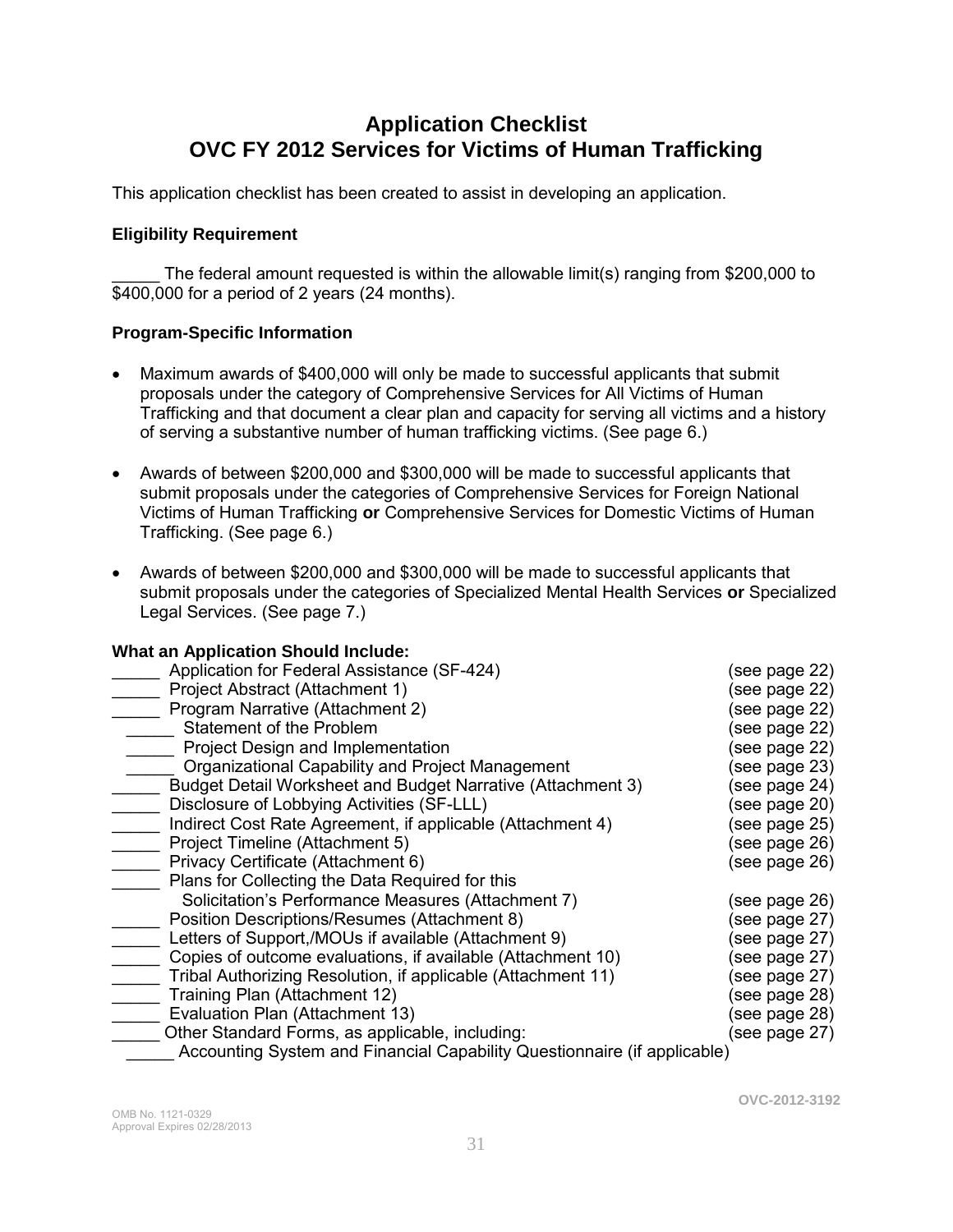### **Application Checklist OVC FY 2012 Services for Victims of Human Trafficking**

This application checklist has been created to assist in developing an application.

### **Eligibility Requirement**

The federal amount requested is within the allowable limit(s) ranging from \$200,000 to \$400,000 for a period of 2 years (24 months).

### **Program-Specific Information**

- Maximum awards of \$400,000 will only be made to successful applicants that submit proposals under the category of Comprehensive Services for All Victims of Human Trafficking and that document a clear plan and capacity for serving all victims and a history of serving a substantive number of human trafficking victims. (See page 6.)
- Awards of between \$200,000 and \$300,000 will be made to successful applicants that submit proposals under the categories of Comprehensive Services for Foreign National Victims of Human Trafficking **or** Comprehensive Services for Domestic Victims of Human Trafficking. (See page 6.)
- Awards of between \$200,000 and \$300,000 will be made to successful applicants that submit proposals under the categories of Specialized Mental Health Services **or** Specialized Legal Services. (See page 7.)

### **What an Application Should Include:**

| Application for Federal Assistance (SF-424)                              | (see page 22) |  |
|--------------------------------------------------------------------------|---------------|--|
| Project Abstract (Attachment 1)                                          | (see page 22) |  |
| Program Narrative (Attachment 2)                                         | (see page 22) |  |
| Statement of the Problem                                                 | (see page 22) |  |
| Project Design and Implementation                                        | (see page 22) |  |
| Organizational Capability and Project Management                         | (see page 23) |  |
| Budget Detail Worksheet and Budget Narrative (Attachment 3)              | (see page 24) |  |
| Disclosure of Lobbying Activities (SF-LLL)                               | (see page 20) |  |
| Indirect Cost Rate Agreement, if applicable (Attachment 4)               | (see page 25) |  |
| Project Timeline (Attachment 5)                                          | (see page 26) |  |
| Privacy Certificate (Attachment 6)                                       | (see page 26) |  |
| Plans for Collecting the Data Required for this                          |               |  |
| Solicitation's Performance Measures (Attachment 7)                       | (see page 26) |  |
| Position Descriptions/Resumes (Attachment 8)                             | (see page 27) |  |
| Letters of Support,/MOUs if available (Attachment 9)                     | (see page 27) |  |
| Copies of outcome evaluations, if available (Attachment 10)              | (see page 27) |  |
| Tribal Authorizing Resolution, if applicable (Attachment 11)             | (see page 27) |  |
| Training Plan (Attachment 12)                                            | (see page 28) |  |
| Evaluation Plan (Attachment 13)                                          | (see page 28) |  |
| Other Standard Forms, as applicable, including:                          | (see page 27) |  |
| Accounting System and Financial Capability Questionnaire (if applicable) |               |  |

**OVC-2012-3192**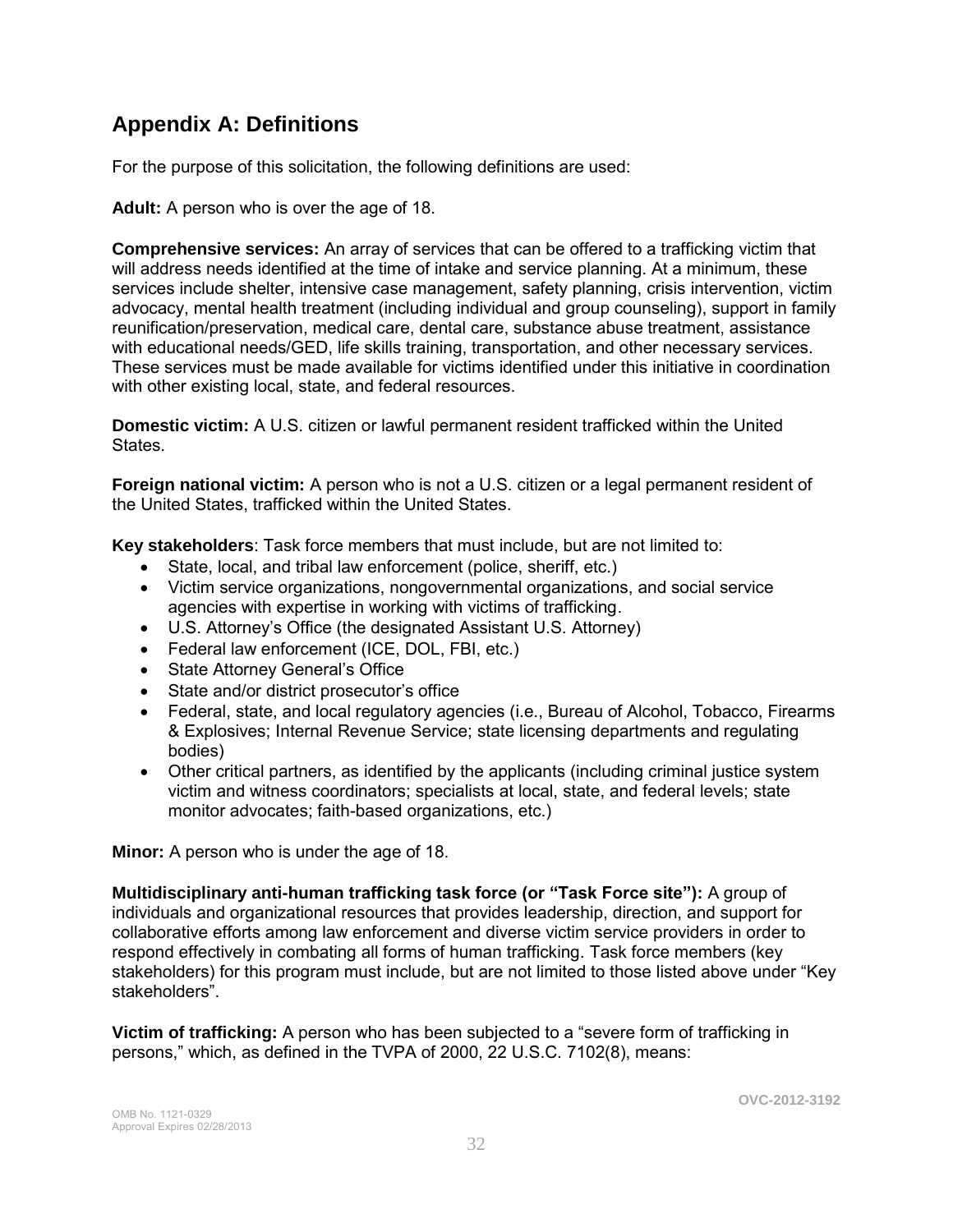### **Appendix A: Definitions**

For the purpose of this solicitation, the following definitions are used:

**Adult:** A person who is over the age of 18.

**Comprehensive services:** An array of services that can be offered to a trafficking victim that will address needs identified at the time of intake and service planning. At a minimum, these services include shelter, intensive case management, safety planning, crisis intervention, victim advocacy, mental health treatment (including individual and group counseling), support in family reunification/preservation, medical care, dental care, substance abuse treatment, assistance with educational needs/GED, life skills training, transportation, and other necessary services. These services must be made available for victims identified under this initiative in coordination with other existing local, state, and federal resources.

**Domestic victim:** A U.S. citizen or lawful permanent resident trafficked within the United States.

**Foreign national victim:** A person who is not a U.S. citizen or a legal permanent resident of the United States, trafficked within the United States.

**Key stakeholders**: Task force members that must include, but are not limited to:

- State, local, and tribal law enforcement (police, sheriff, etc.)
- Victim service organizations, nongovernmental organizations, and social service agencies with expertise in working with victims of trafficking.
- U.S. Attorney's Office (the designated Assistant U.S. Attorney)
- Federal law enforcement (ICE, DOL, FBI, etc.)
- State Attorney General's Office
- State and/or district prosecutor's office
- Federal, state, and local regulatory agencies (i.e., Bureau of Alcohol, Tobacco, Firearms & Explosives; Internal Revenue Service; state licensing departments and regulating bodies)
- Other critical partners, as identified by the applicants (including criminal justice system victim and witness coordinators; specialists at local, state, and federal levels; state monitor advocates; faith-based organizations, etc.)

**Minor:** A person who is under the age of 18.

**Multidisciplinary anti-human trafficking task force (or "Task Force site"):** A group of individuals and organizational resources that provides leadership, direction, and support for collaborative efforts among law enforcement and diverse victim service providers in order to respond effectively in combating all forms of human trafficking. Task force members (key stakeholders) for this program must include, but are not limited to those listed above under "Key stakeholders".

**Victim of trafficking:** A person who has been subjected to a "severe form of trafficking in persons," which, as defined in the TVPA of 2000, 22 U.S.C. 7102(8), means: